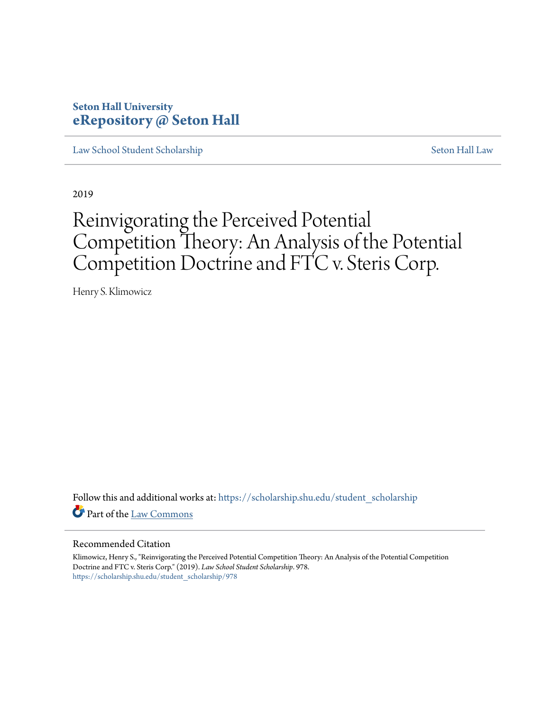### **Seton Hall University [eRepository @ Seton Hall](https://scholarship.shu.edu?utm_source=scholarship.shu.edu%2Fstudent_scholarship%2F978&utm_medium=PDF&utm_campaign=PDFCoverPages)**

[Law School Student Scholarship](https://scholarship.shu.edu/student_scholarship?utm_source=scholarship.shu.edu%2Fstudent_scholarship%2F978&utm_medium=PDF&utm_campaign=PDFCoverPages) [Seton Hall Law](https://scholarship.shu.edu/law?utm_source=scholarship.shu.edu%2Fstudent_scholarship%2F978&utm_medium=PDF&utm_campaign=PDFCoverPages)

2019

# Reinvigorating the Perceived Potential Competition Theory: An Analysis of the Potential Competition Doctrine and FTC v. Steris Corp.

Henry S. Klimowicz

Follow this and additional works at: [https://scholarship.shu.edu/student\\_scholarship](https://scholarship.shu.edu/student_scholarship?utm_source=scholarship.shu.edu%2Fstudent_scholarship%2F978&utm_medium=PDF&utm_campaign=PDFCoverPages) Part of the [Law Commons](http://network.bepress.com/hgg/discipline/578?utm_source=scholarship.shu.edu%2Fstudent_scholarship%2F978&utm_medium=PDF&utm_campaign=PDFCoverPages)

#### Recommended Citation

Klimowicz, Henry S., "Reinvigorating the Perceived Potential Competition Theory: An Analysis of the Potential Competition Doctrine and FTC v. Steris Corp." (2019). *Law School Student Scholarship*. 978. [https://scholarship.shu.edu/student\\_scholarship/978](https://scholarship.shu.edu/student_scholarship/978?utm_source=scholarship.shu.edu%2Fstudent_scholarship%2F978&utm_medium=PDF&utm_campaign=PDFCoverPages)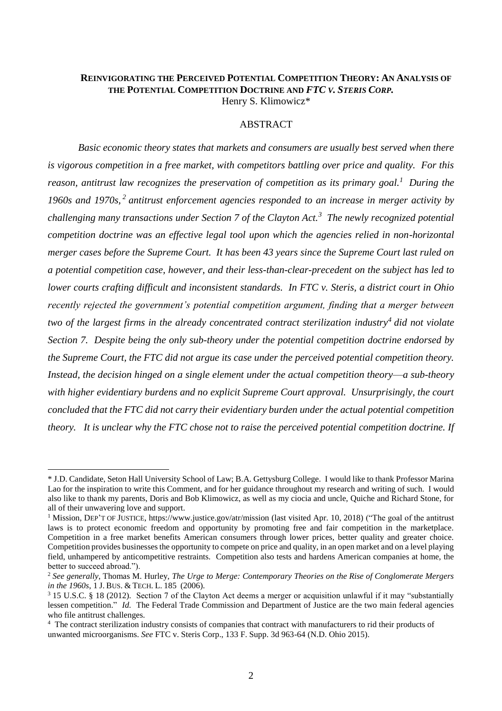### **REINVIGORATING THE PERCEIVED POTENTIAL COMPETITION THEORY: AN ANALYSIS OF THE POTENTIAL COMPETITION DOCTRINE AND** *FTC V. STERIS CORP.* Henry S. Klimowicz\*

### ABSTRACT

<span id="page-1-0"></span>*Basic economic theory states that markets and consumers are usually best served when there is vigorous competition in a free market, with competitors battling over price and quality. For this reason, antitrust law recognizes the preservation of competition as its primary goal.<sup>1</sup> During the*  1960s and 1970s,<sup>2</sup> antitrust enforcement agencies responded to an increase in merger activity by *challenging many transactions under Section 7 of the Clayton Act.<sup>3</sup> The newly recognized potential competition doctrine was an effective legal tool upon which the agencies relied in non-horizontal merger cases before the Supreme Court. It has been 43 years since the Supreme Court last ruled on a potential competition case, however, and their less-than-clear-precedent on the subject has led to lower courts crafting difficult and inconsistent standards. In FTC v. Steris, a district court in Ohio recently rejected the government's potential competition argument, finding that a merger between two of the largest firms in the already concentrated contract sterilization industry<sup>4</sup> did not violate Section 7. Despite being the only sub-theory under the potential competition doctrine endorsed by the Supreme Court, the FTC did not argue its case under the perceived potential competition theory. Instead, the decision hinged on a single element under the actual competition theory*—*a sub-theory with higher evidentiary burdens and no explicit Supreme Court approval. Unsurprisingly, the court concluded that the FTC did not carry their evidentiary burden under the actual potential competition theory. It is unclear why the FTC chose not to raise the perceived potential competition doctrine. If* 

<sup>\*</sup> J.D. Candidate, Seton Hall University School of Law; B.A. Gettysburg College. I would like to thank Professor Marina Lao for the inspiration to write this Comment, and for her guidance throughout my research and writing of such. I would also like to thank my parents, Doris and Bob Klimowicz, as well as my ciocia and uncle, Quiche and Richard Stone, for all of their unwavering love and support.

<sup>&</sup>lt;sup>1</sup> Mission, DEP'T OF JUSTICE, https://www.justice.gov/atr/mission (last visited Apr. 10, 2018) ("The goal of the antitrust laws is to protect economic freedom and opportunity by promoting free and fair competition in the marketplace. Competition in a free market benefits American consumers through lower prices, better quality and greater choice. Competition provides businesses the opportunity to compete on price and quality, in an open market and on a level playing field, unhampered by anticompetitive restraints. Competition also tests and hardens American companies at home, the better to succeed abroad.").

<sup>2</sup> *See generally*, Thomas M. Hurley, *The Urge to Merge: Contemporary Theories on the Rise of Conglomerate Mergers in the 1960s*, 1 J. BUS. & TECH. L. 185 (2006).

<sup>3</sup> 15 U.S.C. § 18 (2012). Section 7 of the Clayton Act deems a merger or acquisition unlawful if it may "substantially lessen competition." *Id.* The Federal Trade Commission and Department of Justice are the two main federal agencies who file antitrust challenges.

<sup>4</sup> The contract sterilization industry consists of companies that contract with manufacturers to rid their products of unwanted microorganisms. *See* FTC v. Steris Corp., 133 F. Supp. 3d 963-64 (N.D. Ohio 2015).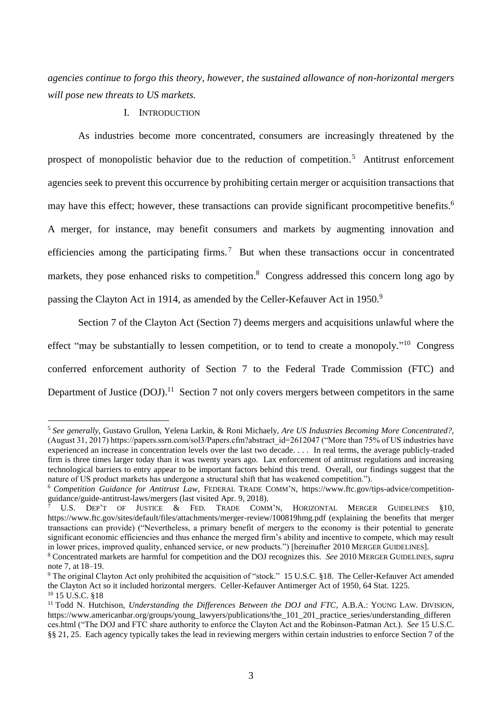*agencies continue to forgo this theory, however, the sustained allowance of non-horizontal mergers will pose new threats to US markets.*

### <span id="page-2-0"></span>I. INTRODUCTION

 $\overline{a}$ 

As industries become more concentrated, consumers are increasingly threatened by the prospect of monopolistic behavior due to the reduction of competition.<sup>5</sup> Antitrust enforcement agencies seek to prevent this occurrence by prohibiting certain merger or acquisition transactions that may have this effect; however, these transactions can provide significant procompetitive benefits.<sup>6</sup> A merger, for instance, may benefit consumers and markets by augmenting innovation and efficiencies among the participating firms.<sup>7</sup> But when these transactions occur in concentrated markets, they pose enhanced risks to competition.<sup>8</sup> Congress addressed this concern long ago by passing the Clayton Act in 1914, as amended by the Celler-Kefauver Act in 1950.<sup>9</sup>

Section 7 of the Clayton Act (Section 7) deems mergers and acquisitions unlawful where the effect "may be substantially to lessen competition, or to tend to create a monopoly."<sup>10</sup> Congress conferred enforcement authority of Section 7 to the Federal Trade Commission (FTC) and Department of Justice (DOJ).<sup>11</sup> Section 7 not only covers mergers between competitors in the same

<sup>5</sup> *See generally*, Gustavo Grullon, Yelena Larkin, & Roni Michaely, *Are US Industries Becoming More Concentrated?,* (August 31, 2017) https://papers.ssrn.com/sol3/Papers.cfm?abstract\_id=2612047 ("More than 75% of US industries have experienced an increase in concentration levels over the last two decade. . . . In real terms, the average publicly-traded firm is three times larger today than it was twenty years ago. Lax enforcement of antitrust regulations and increasing technological barriers to entry appear to be important factors behind this trend. Overall, our findings suggest that the nature of US product markets has undergone a structural shift that has weakened competition.").

<sup>6</sup> *Competition Guidance for Antitrust Law*, FEDERAL TRADE COMM'N, https://www.ftc.gov/tips-advice/competitionguidance/guide-antitrust-laws/mergers (last visited Apr. 9, 2018).

U.S. DEP'T OF JUSTICE & FED. TRADE COMM'N, HORIZONTAL MERGER GUIDELINES §10, https://www.ftc.gov/sites/default/files/attachments/merger-review/100819hmg.pdf (explaining the benefits that merger transactions can provide) ("Nevertheless, a primary benefit of mergers to the economy is their potential to generate significant economic efficiencies and thus enhance the merged firm's ability and incentive to compete, which may result in lower prices, improved quality, enhanced service, or new products.") [hereinafter 2010 MERGER GUIDELINES].

<sup>8</sup> Concentrated markets are harmful for competition and the DOJ recognizes this. *See* 2010 MERGER GUIDELINES, *supra* note [7,](#page-2-0) at 18–19.

<sup>9</sup> The original Clayton Act only prohibited the acquisition of "stock." 15 U.S.C. §18. The Celler-Kefauver Act amended the Clayton Act so it included horizontal mergers. Celler-Kefauver Antimerger Act of 1950, 64 Stat. 1225. <sup>10</sup> 15 U.S.C. §18

<sup>&</sup>lt;sup>11</sup> Todd N. Hutchison, *Understanding the Differences Between the DOJ and FTC*, A.B.A.: YOUNG LAW. DIVISION, https://www.americanbar.org/groups/young\_lawyers/publications/the\_101\_201\_practice\_series/understanding\_differen ces.html ("The DOJ and FTC share authority to enforce the Clayton Act and the Robinson-Patman Act.). *See* 15 U.S.C. §§ 21, 25. Each agency typically takes the lead in reviewing mergers within certain industries to enforce Section 7 of the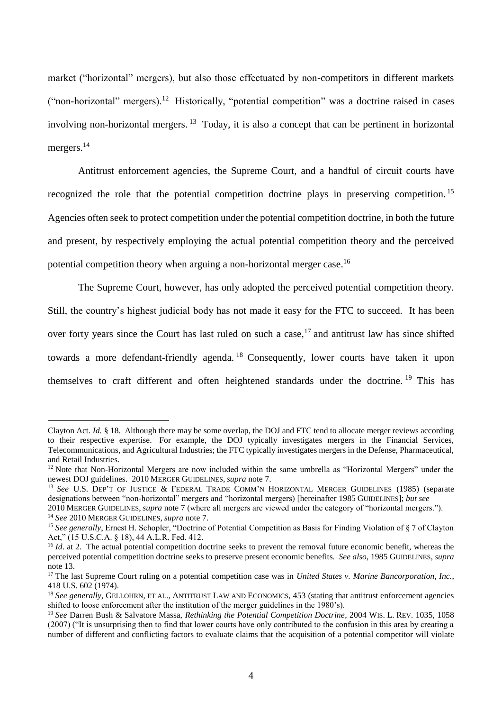market ("horizontal" mergers), but also those effectuated by non-competitors in different markets ("non-horizontal" mergers).<sup>12</sup> Historically, "potential competition" was a doctrine raised in cases involving non-horizontal mergers. <sup>13</sup> Today, it is also a concept that can be pertinent in horizontal mergers.<sup>14</sup>

<span id="page-3-0"></span>Antitrust enforcement agencies, the Supreme Court, and a handful of circuit courts have recognized the role that the potential competition doctrine plays in preserving competition.<sup>15</sup> Agencies often seek to protect competition under the potential competition doctrine, in both the future and present, by respectively employing the actual potential competition theory and the perceived potential competition theory when arguing a non-horizontal merger case.<sup>16</sup>

The Supreme Court, however, has only adopted the perceived potential competition theory. Still, the country's highest judicial body has not made it easy for the FTC to succeed. It has been over forty years since the Court has last ruled on such a case,<sup>17</sup> and antitrust law has since shifted towards a more defendant-friendly agenda. <sup>18</sup> Consequently, lower courts have taken it upon themselves to craft different and often heightened standards under the doctrine. <sup>19</sup> This has

<span id="page-3-1"></span>Clayton Act. *Id.* § 18. Although there may be some overlap, the DOJ and FTC tend to allocate merger reviews according to their respective expertise. For example, the DOJ typically investigates mergers in the Financial Services, Telecommunications, and Agricultural Industries; the FTC typically investigates mergers in the Defense, Pharmaceutical, and Retail Industries.

<sup>&</sup>lt;sup>12</sup> Note that Non-Horizontal Mergers are now included within the same umbrella as "Horizontal Mergers" under the newest DOJ guidelines. 2010 MERGER GUIDELINES, *supra* note [7.](#page-2-0)

<sup>13</sup> *See* U.S. DEP'T OF JUSTICE & FEDERAL TRADE COMM'N HORIZONTAL MERGER GUIDELINES (1985) (separate designations between "non-horizontal" mergers and "horizontal mergers) [hereinafter 1985 GUIDELINES]; *but see*

<sup>2010</sup> MERGER GUIDELINES, *supra* note [7](#page-2-0) (where all mergers are viewed under the category of "horizontal mergers."). <sup>14</sup> *See* 2010 MERGER GUIDELINES, *supra* not[e 7.](#page-2-0)

<sup>&</sup>lt;sup>15</sup> See generally, Ernest H. Schopler, "Doctrine of Potential Competition as Basis for Finding Violation of § 7 of Clayton Act," (15 U.S.C.A. § 18), 44 A.L.R. Fed. 412.

<sup>&</sup>lt;sup>16</sup> *Id.* at 2. The actual potential competition doctrine seeks to prevent the removal future economic benefit, whereas the perceived potential competition doctrine seeks to preserve present economic benefits. *See also*, 1985 GUIDELINES, *supra* note [13.](#page-3-0) 

<sup>&</sup>lt;sup>17</sup> The last Supreme Court ruling on a potential competition case was in *United States v. Marine Bancorporation, Inc.*, 418 U.S. 602 (1974).

<sup>&</sup>lt;sup>18</sup> *See generally*, GELLOHRN, ET AL., ANTITRUST LAW AND ECONOMICS, 453 (stating that antitrust enforcement agencies shifted to loose enforcement after the institution of the merger guidelines in the 1980's).

<sup>19</sup> *See* Darren Bush & Salvatore Massa, *Rethinking the Potential Competition Doctrine*, 2004 WIS. L. REV. 1035, 1058 (2007) ("It is unsurprising then to find that lower courts have only contributed to the confusion in this area by creating a number of different and conflicting factors to evaluate claims that the acquisition of a potential competitor will violate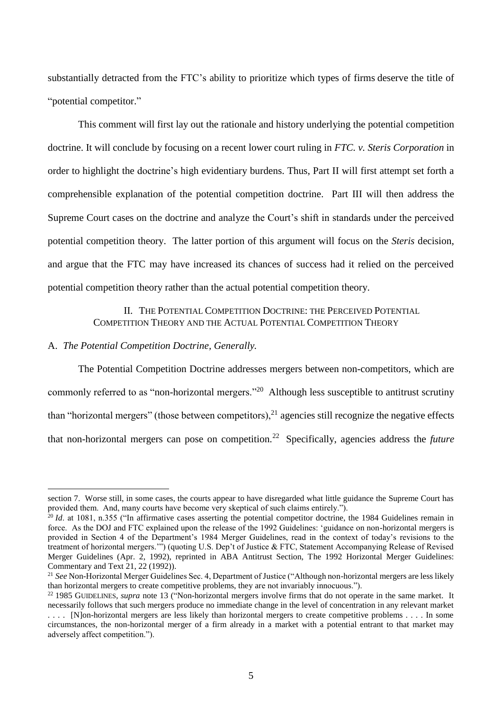substantially detracted from the FTC's ability to prioritize which types of firms deserve the title of "potential competitor."

This comment will first lay out the rationale and history underlying the potential competition doctrine. It will conclude by focusing on a recent lower court ruling in *FTC. v. Steris Corporation* in order to highlight the doctrine's high evidentiary burdens. Thus, Part II will first attempt set forth a comprehensible explanation of the potential competition doctrine. Part III will then address the Supreme Court cases on the doctrine and analyze the Court's shift in standards under the perceived potential competition theory. The latter portion of this argument will focus on the *Steris* decision, and argue that the FTC may have increased its chances of success had it relied on the perceived potential competition theory rather than the actual potential competition theory.

> II. THE POTENTIAL COMPETITION DOCTRINE: THE PERCEIVED POTENTIAL COMPETITION THEORY AND THE ACTUAL POTENTIAL COMPETITION THEORY

### A. *The Potential Competition Doctrine, Generally.*

 $\overline{a}$ 

The Potential Competition Doctrine addresses mergers between non-competitors, which are commonly referred to as "non-horizontal mergers."<sup>20</sup> Although less susceptible to antitrust scrutiny than "horizontal mergers" (those between competitors), $^{21}$  agencies still recognize the negative effects that non-horizontal mergers can pose on competition.<sup>22</sup> Specifically, agencies address the *future*

section 7. Worse still, in some cases, the courts appear to have disregarded what little guidance the Supreme Court has provided them. And, many courts have become very skeptical of such claims entirely.").

<sup>&</sup>lt;sup>20</sup> *Id.* at 1081, n.355 ("In affirmative cases asserting the potential competitor doctrine, the 1984 Guidelines remain in force. As the DOJ and FTC explained upon the release of the 1992 Guidelines: 'guidance on non-horizontal mergers is provided in Section 4 of the Department's 1984 Merger Guidelines, read in the context of today's revisions to the treatment of horizontal mergers.'") (quoting U.S. Dep't of Justice & FTC, Statement Accompanying Release of Revised Merger Guidelines (Apr. 2, 1992), reprinted in ABA Antitrust Section, The 1992 Horizontal Merger Guidelines: Commentary and Text 21, 22 (1992)).

<sup>21</sup> *See* Non-Horizontal Merger Guidelines Sec. 4, Department of Justice ("Although non-horizontal mergers are less likely than horizontal mergers to create competitive problems, they are not invariably innocuous.").

<sup>&</sup>lt;sup>22</sup> 1985 GUIDELINES, *supra* note [13](#page-3-0) ("Non-horizontal mergers involve firms that do not operate in the same market. It necessarily follows that such mergers produce no immediate change in the level of concentration in any relevant market . . . . [N]on-horizontal mergers are less likely than horizontal mergers to create competitive problems . . . . In some circumstances, the non-horizontal merger of a firm already in a market with a potential entrant to that market may adversely affect competition.").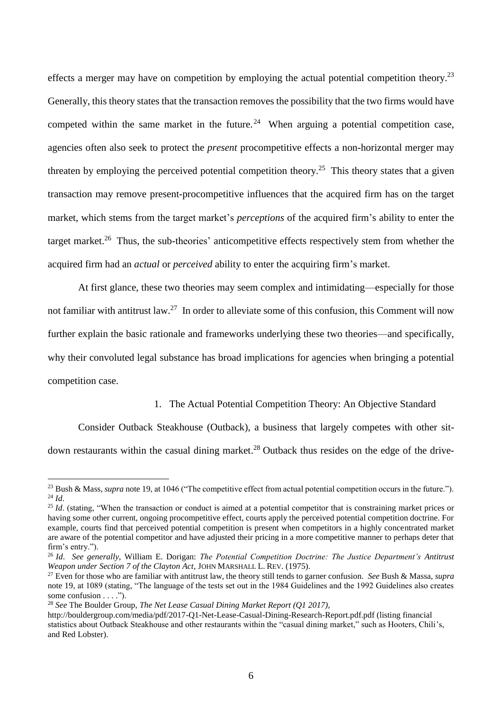effects a merger may have on competition by employing the actual potential competition theory.<sup>23</sup> Generally, this theory states that the transaction removes the possibility that the two firms would have competed within the same market in the future.<sup>24</sup> When arguing a potential competition case, agencies often also seek to protect the *present* procompetitive effects a non-horizontal merger may threaten by employing the perceived potential competition theory.<sup>25</sup> This theory states that a given transaction may remove present-procompetitive influences that the acquired firm has on the target market, which stems from the target market's *perceptions* of the acquired firm's ability to enter the target market.<sup>26</sup> Thus, the sub-theories' anticompetitive effects respectively stem from whether the acquired firm had an *actual* or *perceived* ability to enter the acquiring firm's market.

At first glance, these two theories may seem complex and intimidating—especially for those not familiar with antitrust law.<sup>27</sup> In order to alleviate some of this confusion, this Comment will now further explain the basic rationale and frameworks underlying these two theories—and specifically, why their convoluted legal substance has broad implications for agencies when bringing a potential competition case.

### <span id="page-5-0"></span>1. The Actual Potential Competition Theory: An Objective Standard

Consider Outback Steakhouse (Outback), a business that largely competes with other sitdown restaurants within the casual dining market.<sup>28</sup> Outback thus resides on the edge of the drive-

<sup>&</sup>lt;sup>23</sup> Bush & Mass, *supra* not[e 19,](#page-3-1) at 1046 ("The competitive effect from actual potential competition occurs in the future."). <sup>24</sup> *Id*.

<sup>&</sup>lt;sup>25</sup> *Id*. (stating, "When the transaction or conduct is aimed at a potential competitor that is constraining market prices or having some other current, ongoing procompetitive effect, courts apply the perceived potential competition doctrine. For example, courts find that perceived potential competition is present when competitors in a highly concentrated market are aware of the potential competitor and have adjusted their pricing in a more competitive manner to perhaps deter that firm's entry.").

<sup>26</sup> *Id*. *See generally*, William E. Dorigan: *The Potential Competition Doctrine: The Justice Department's Antitrust Weapon under Section 7 of the Clayton Act*, JOHN MARSHALL L. REV. (1975).

<sup>27</sup> Even for those who are familiar with antitrust law, the theory still tends to garner confusion. *See* Bush & Massa, *supra* note [19,](#page-3-1) at 1089 (stating, "The language of the tests set out in the 1984 Guidelines and the 1992 Guidelines also creates some confusion . . . .").

<sup>28</sup> *See* The Boulder Group, *The Net Lease Casual Dining Market Report (Q1 2017)*,

http://bouldergroup.com/media/pdf/2017-Q1-Net-Lease-Casual-Dining-Research-Report.pdf.pdf (listing financial statistics about Outback Steakhouse and other restaurants within the "casual dining market," such as Hooters, Chili's, and Red Lobster).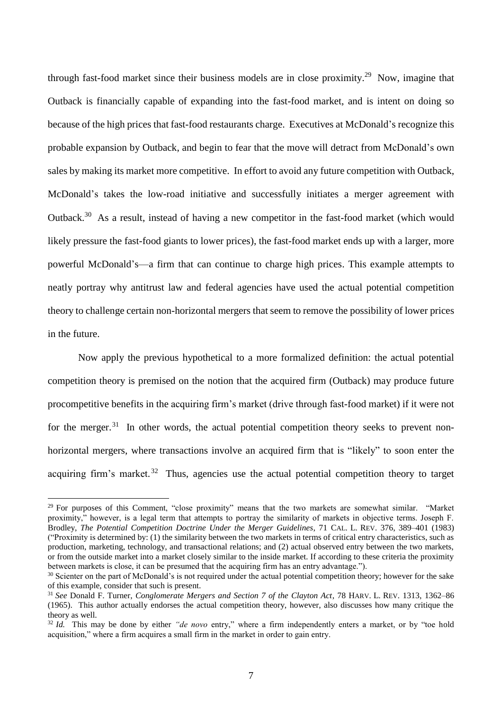through fast-food market since their business models are in close proximity.<sup>29</sup> Now, imagine that Outback is financially capable of expanding into the fast-food market, and is intent on doing so because of the high prices that fast-food restaurants charge. Executives at McDonald's recognize this probable expansion by Outback, and begin to fear that the move will detract from McDonald's own sales by making its market more competitive. In effort to avoid any future competition with Outback, McDonald's takes the low-road initiative and successfully initiates a merger agreement with Outback.<sup>30</sup> As a result, instead of having a new competitor in the fast-food market (which would likely pressure the fast-food giants to lower prices), the fast-food market ends up with a larger, more powerful McDonald's—a firm that can continue to charge high prices. This example attempts to neatly portray why antitrust law and federal agencies have used the actual potential competition theory to challenge certain non-horizontal mergers that seem to remove the possibility of lower prices in the future.

<span id="page-6-0"></span>Now apply the previous hypothetical to a more formalized definition: the actual potential competition theory is premised on the notion that the acquired firm (Outback) may produce future procompetitive benefits in the acquiring firm's market (drive through fast-food market) if it were not for the merger.<sup>31</sup> In other words, the actual potential competition theory seeks to prevent nonhorizontal mergers, where transactions involve an acquired firm that is "likely" to soon enter the acquiring firm's market.<sup>32</sup> Thus, agencies use the actual potential competition theory to target

<sup>&</sup>lt;sup>29</sup> For purposes of this Comment, "close proximity" means that the two markets are somewhat similar. "Market proximity," however, is a legal term that attempts to portray the similarity of markets in objective terms. Joseph F. Brodley, *The Potential Competition Doctrine Under the Merger Guidelines*, 71 CAL. L. REV. 376, 389–401 (1983) ("Proximity is determined by: (1) the similarity between the two markets in terms of critical entry characteristics, such as production, marketing, technology, and transactional relations; and (2) actual observed entry between the two markets, or from the outside market into a market closely similar to the inside market. If according to these criteria the proximity between markets is close, it can be presumed that the acquiring firm has an entry advantage.").

<sup>&</sup>lt;sup>30</sup> Scienter on the part of McDonald's is not required under the actual potential competition theory; however for the sake of this example, consider that such is present.

<sup>31</sup> *See* Donald F. Turner, *Conglomerate Mergers and Section 7 of the Clayton Act*, 78 HARV. L. REV. 1313, 1362–86 (1965). This author actually endorses the actual competition theory, however, also discusses how many critique the theory as well.

<sup>32</sup> *Id.* This may be done by either *"de novo* entry," where a firm independently enters a market, or by "toe hold acquisition," where a firm acquires a small firm in the market in order to gain entry.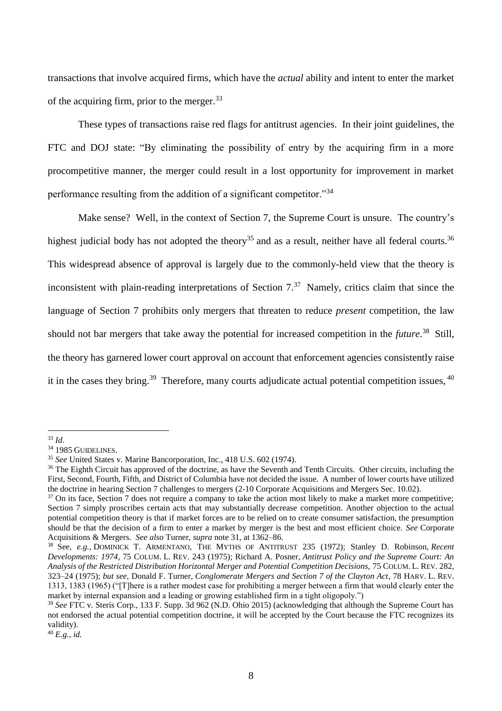transactions that involve acquired firms, which have the *actual* ability and intent to enter the market of the acquiring firm, prior to the merger.<sup>33</sup>

These types of transactions raise red flags for antitrust agencies. In their joint guidelines, the FTC and DOJ state: "By eliminating the possibility of entry by the acquiring firm in a more procompetitive manner, the merger could result in a lost opportunity for improvement in market performance resulting from the addition of a significant competitor."<sup>34</sup>

Make sense? Well, in the context of Section 7, the Supreme Court is unsure. The country's highest judicial body has not adopted the theory<sup>35</sup> and as a result, neither have all federal courts.<sup>36</sup> This widespread absence of approval is largely due to the commonly-held view that the theory is inconsistent with plain-reading interpretations of Section  $7<sup>37</sup>$  Namely, critics claim that since the language of Section 7 prohibits only mergers that threaten to reduce *present* competition, the law should not bar mergers that take away the potential for increased competition in the *future*. 38 Still, the theory has garnered lower court approval on account that enforcement agencies consistently raise it in the cases they bring.<sup>39</sup> Therefore, many courts adjudicate actual potential competition issues, <sup>40</sup>

<sup>33</sup> *Id*.

<sup>&</sup>lt;sup>34</sup> 1985 GUIDELINES.

<sup>35</sup> *See* United States v. Marine Bancorporation, Inc., 418 U.S. 602 (1974).

<sup>&</sup>lt;sup>36</sup> The Eighth Circuit has approved of the doctrine, as have the Seventh and Tenth Circuits. Other circuits, including the First, Second, Fourth, Fifth, and District of Columbia have not decided the issue. A number of lower courts have utilized the doctrine in hearing Section 7 challenges to mergers (2-10 Corporate Acquisitions and Mergers Sec. 10.02).

 $37$  On its face, Section 7 does not require a company to take the action most likely to make a market more competitive; Section 7 simply proscribes certain acts that may substantially decrease competition. Another objection to the actual potential competition theory is that if market forces are to be relied on to create consumer satisfaction, the presumption should be that the decision of a firm to enter a market by merger is the best and most efficient choice. *See* Corporate Acquisitions & Mergers. *See also* Turner, *supra* not[e 31,](#page-6-0) at 1362–86.

<sup>38</sup> See*, e.g.*, DOMINICK T. ARMENTANO, THE MYTHS OF ANTITRUST 235 (1972); Stanley D. Robinson, *Recent Developments: 1974*, 75 COLUM. L. REV. 243 (1975); Richard A. Posner, *Antitrust Policy and the Supreme Court: An Analysis of the Restricted Distribution Horizontal Merger and Potential Competition Decisions,* 75 COLUM. L. REV. 282, 323–24 (1975); *but see,* Donald F. Turner, *Conglomerate Mergers and Section 7 of the Clayton Act*, 78 HARV. L. REV. 1313, 1383 (1965) ("[T]here is a rather modest case for prohibiting a merger between a firm that would clearly enter the market by internal expansion and a leading or growing established firm in a tight oligopoly.")

<sup>39</sup> *See* FTC v. Steris Corp., 133 F. Supp. 3d 962 (N.D. Ohio 2015) (acknowledging that although the Supreme Court has not endorsed the actual potential competition doctrine, it will be accepted by the Court because the FTC recognizes its validity).

<sup>40</sup> *E.g.*, *id.*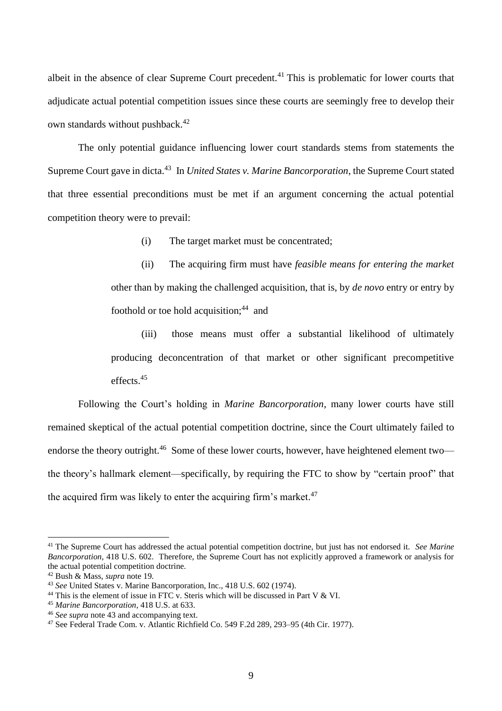albeit in the absence of clear Supreme Court precedent.<sup>41</sup> This is problematic for lower courts that adjudicate actual potential competition issues since these courts are seemingly free to develop their own standards without pushback. 42

The only potential guidance influencing lower court standards stems from statements the Supreme Court gave in dicta.<sup>43</sup> In *United States v. Marine Bancorporation*, the Supreme Court stated that three essential preconditions must be met if an argument concerning the actual potential competition theory were to prevail:

<span id="page-8-0"></span>(i) The target market must be concentrated;

(ii) The acquiring firm must have *feasible means for entering the market* other than by making the challenged acquisition, that is, by *de novo* entry or entry by foothold or toe hold acquisition;<sup>44</sup> and

(iii) those means must offer a substantial likelihood of ultimately producing deconcentration of that market or other significant precompetitive effects.<sup>45</sup>

Following the Court's holding in *Marine Bancorporation*, many lower courts have still remained skeptical of the actual potential competition doctrine, since the Court ultimately failed to endorse the theory outright.<sup>46</sup> Some of these lower courts, however, have heightened element two the theory's hallmark element—specifically, by requiring the FTC to show by "certain proof" that the acquired firm was likely to enter the acquiring firm's market.<sup>47</sup>

<sup>41</sup> The Supreme Court has addressed the actual potential competition doctrine, but just has not endorsed it. *See Marine Bancorporation*, 418 U.S. 602. Therefore, the Supreme Court has not explicitly approved a framework or analysis for the actual potential competition doctrine.

<sup>42</sup> Bush & Mass, *supra* note [19](#page-3-1)*.* 

<sup>43</sup> *See* United States v. Marine Bancorporation, Inc., 418 U.S. 602 (1974).

<sup>&</sup>lt;sup>44</sup> This is the element of issue in FTC v. Steris which will be discussed in Part V & VI.

<sup>45</sup> *Marine Bancorporation*, 418 U.S. at 633.

<sup>46</sup> *See supra* note [43](#page-8-0) and accompanying text.

<sup>47</sup> See Federal Trade Com. v. Atlantic Richfield Co. 549 F.2d 289, 293–95 (4th Cir. 1977).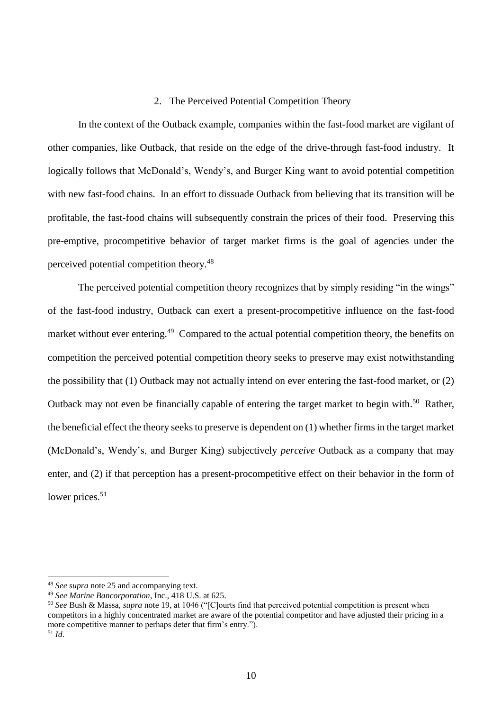### 2. The Perceived Potential Competition Theory

In the context of the Outback example, companies within the fast-food market are vigilant of other companies, like Outback, that reside on the edge of the drive-through fast-food industry. It logically follows that McDonald's, Wendy's, and Burger King want to avoid potential competition with new fast-food chains. In an effort to dissuade Outback from believing that its transition will be profitable, the fast-food chains will subsequently constrain the prices of their food. Preserving this pre-emptive, procompetitive behavior of target market firms is the goal of agencies under the perceived potential competition theory.<sup>48</sup>

The perceived potential competition theory recognizes that by simply residing "in the wings" of the fast-food industry, Outback can exert a present-procompetitive influence on the fast-food market without ever entering.<sup>49</sup> Compared to the actual potential competition theory, the benefits on competition the perceived potential competition theory seeks to preserve may exist notwithstanding the possibility that (1) Outback may not actually intend on ever entering the fast-food market, or (2) Outback may not even be financially capable of entering the target market to begin with.<sup>50</sup> Rather, the beneficial effect the theory seeks to preserve is dependent on (1) whether firms in the target market (McDonald's, Wendy's, and Burger King) subjectively *perceive* Outback as a company that may enter, and (2) if that perception has a present-procompetitive effect on their behavior in the form of lower prices.<sup>51</sup>

<sup>48</sup> *See supra* note [25](#page-5-0) and accompanying text.

<sup>49</sup> *See Marine Bancorporation*, Inc., 418 U.S. at 625.

<sup>50</sup> *See* Bush & Massa, *supra* note [19,](#page-3-1) at 1046 ("[C]ourts find that perceived potential competition is present when competitors in a highly concentrated market are aware of the potential competitor and have adjusted their pricing in a more competitive manner to perhaps deter that firm's entry."). <sup>51</sup> *Id*.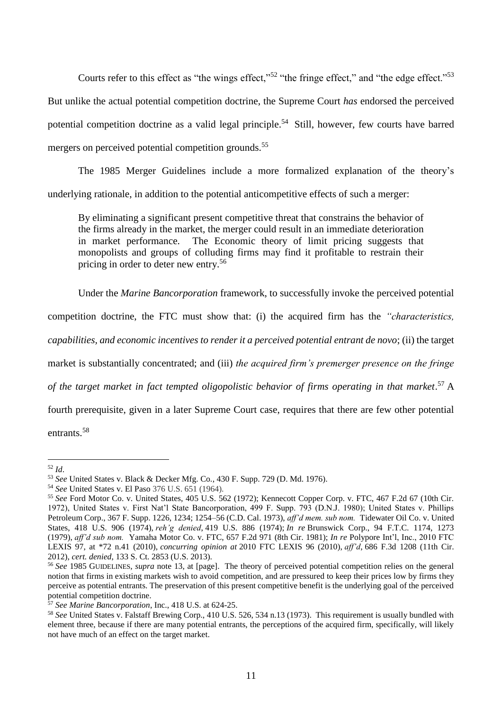Courts refer to this effect as "the wings effect,"<sup>52</sup> "the fringe effect," and "the edge effect."<sup>53</sup> But unlike the actual potential competition doctrine, the Supreme Court *has* endorsed the perceived potential competition doctrine as a valid legal principle.<sup>54</sup> Still, however, few courts have barred mergers on perceived potential competition grounds.<sup>55</sup>

The 1985 Merger Guidelines include a more formalized explanation of the theory's underlying rationale, in addition to the potential anticompetitive effects of such a merger:

By eliminating a significant present competitive threat that constrains the behavior of the firms already in the market, the merger could result in an immediate deterioration in market performance. The Economic theory of limit pricing suggests that monopolists and groups of colluding firms may find it profitable to restrain their pricing in order to deter new entry.<sup>56</sup>

Under the *Marine Bancorporation* framework, to successfully invoke the perceived potential

competition doctrine, the FTC must show that: (i) the acquired firm has the *"characteristics,* 

*capabilities, and economic incentives to render it a perceived potential entrant de novo*; (ii) the target

market is substantially concentrated; and (iii) *the acquired firm's premerger presence on the fringe* 

*of the target market in fact tempted oligopolistic behavior of firms operating in that market*. <sup>57</sup> A

fourth prerequisite, given in a later Supreme Court case, requires that there are few other potential entrants.<sup>58</sup>

 $\overline{a}$ <sup>52</sup> *Id*.

<sup>53</sup> *See* United States v. Black & Decker Mfg. Co., 430 F. Supp. 729 (D. Md. 1976).

<sup>54</sup> *See* United States v. El Paso 376 U.S. 651 (1964).

<sup>55</sup> *See* Ford Motor Co. v. United States, 405 U.S. 562 (1972); Kennecott Copper Corp. v. FTC, 467 F.2d 67 (10th Cir. 1972), United States v. First Nat'l State Bancorporation, 499 F. Supp. 793 (D.N.J. 1980); United States v. Phillips Petroleum Corp., 367 F. Supp. 1226, 1234; 1254–56 (C.D. Cal. 1973), *aff'd mem. sub nom.* Tidewater Oil Co. v. United States, 418 U.S. 906 (1974), *reh'g denied*, 419 U.S. 886 (1974); *In re* Brunswick Corp., 94 F.T.C. 1174, 1273 (1979), *aff'd sub nom.* Yamaha Motor Co. v. FTC, 657 F.2d 971 (8th Cir. 1981); *In re* Polypore Int'l, Inc., 2010 FTC LEXIS 97, at \*72 n.41 (2010), *concurring opinion at* 2010 FTC LEXIS 96 (2010), *aff'd*, 686 F.3d 1208 (11th Cir. 2012), *cert. denied*, 133 S. Ct. 2853 (U.S. 2013).

<sup>56</sup> *See* 1985 GUIDELINES, *supra* note [13,](#page-3-0) at [page]. The theory of perceived potential competition relies on the general notion that firms in existing markets wish to avoid competition, and are pressured to keep their prices low by firms they perceive as potential entrants. The preservation of this present competitive benefit is the underlying goal of the perceived potential competition doctrine.

<sup>57</sup> *See Marine Bancorporation*, Inc., 418 U.S. at 624-25.

<sup>&</sup>lt;sup>58</sup> See United States v. Falstaff Brewing Corp., 410 U.S. 526, 534 n.13 (1973). This requirement is usually bundled with element three, because if there are many potential entrants, the perceptions of the acquired firm, specifically, will likely not have much of an effect on the target market.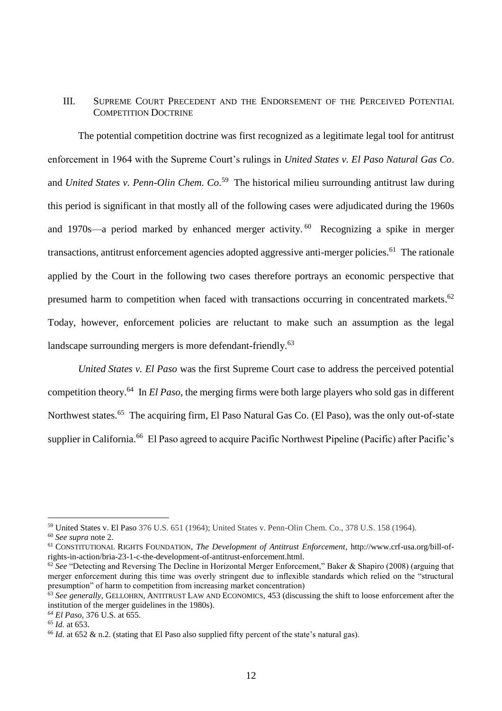### III. SUPREME COURT PRECEDENT AND THE ENDORSEMENT OF THE PERCEIVED POTENTIAL COMPETITION DOCTRINE

The potential competition doctrine was first recognized as a legitimate legal tool for antitrust enforcement in 1964 with the Supreme Court's rulings in *United States v. El Paso Natural Gas Co*. and *United States v. Penn-Olin Chem. Co*. 59 The historical milieu surrounding antitrust law during this period is significant in that mostly all of the following cases were adjudicated during the 1960s and 1970s—a period marked by enhanced merger activity.<sup>60</sup> Recognizing a spike in merger transactions, antitrust enforcement agencies adopted aggressive anti-merger policies.<sup>61</sup> The rationale applied by the Court in the following two cases therefore portrays an economic perspective that presumed harm to competition when faced with transactions occurring in concentrated markets.<sup>62</sup> Today, however, enforcement policies are reluctant to make such an assumption as the legal landscape surrounding mergers is more defendant-friendly.<sup>63</sup>

*United States v. El Paso* was the first Supreme Court case to address the perceived potential competition theory.<sup>64</sup> In *El Paso*, the merging firms were both large players who sold gas in different Northwest states.<sup>65</sup> The acquiring firm, El Paso Natural Gas Co. (El Paso), was the only out-of-state supplier in California.<sup>66</sup> El Paso agreed to acquire Pacific Northwest Pipeline (Pacific) after Pacific's

<sup>59</sup> United States v. El Paso 376 U.S. 651 (1964); United States v. Penn-Olin Chem. Co., 378 U.S. 158 (1964).

<sup>60</sup> *See supra* note [2.](#page-1-0)

<sup>61</sup> CONSTITUTIONAL RIGHTS FOUNDATION, *The Development of Antitrust Enforcement*, http://www.crf-usa.org/bill-ofrights-in-action/bria-23-1-c-the-development-of-antitrust-enforcement.html.

<sup>62</sup> *See* "Detecting and Reversing The Decline in Horizontal Merger Enforcement," Baker & Shapiro (2008) (arguing that merger enforcement during this time was overly stringent due to inflexible standards which relied on the "structural presumption" of harm to competition from increasing market concentration)

<sup>&</sup>lt;sup>63</sup> See generally, GELLOHRN, ANTITRUST LAW AND ECONOMICS, 453 (discussing the shift to loose enforcement after the institution of the merger guidelines in the 1980s).

*<sup>64</sup> El Paso*, 376 U.S. at 655.

<sup>65</sup> *Id.* at 653.

<sup>66</sup> *Id.* at 652 & n.2. (stating that El Paso also supplied fifty percent of the state's natural gas).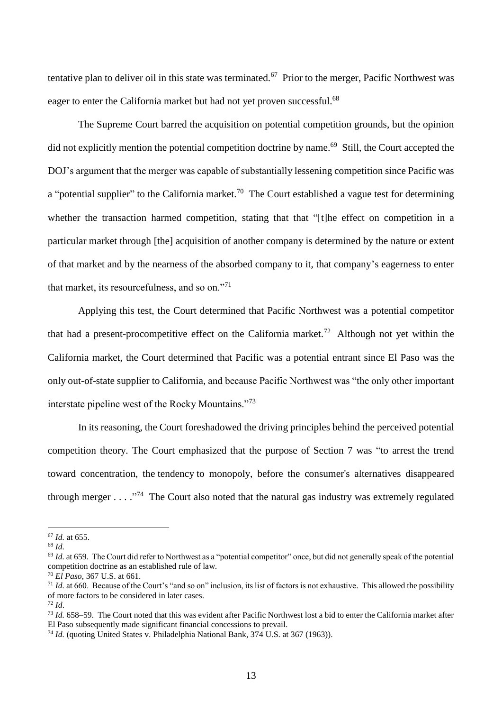tentative plan to deliver oil in this state was terminated.<sup>67</sup> Prior to the merger, Pacific Northwest was eager to enter the California market but had not yet proven successful.<sup>68</sup>

The Supreme Court barred the acquisition on potential competition grounds, but the opinion did not explicitly mention the potential competition doctrine by name.<sup>69</sup> Still, the Court accepted the DOJ's argument that the merger was capable of substantially lessening competition since Pacific was a "potential supplier" to the California market.<sup>70</sup> The Court established a vague test for determining whether the transaction harmed competition, stating that that "[t]he effect on competition in a particular market through [the] acquisition of another company is determined by the nature or extent of that market and by the nearness of the absorbed company to it, that company's eagerness to enter that market, its resourcefulness, and so on."<sup>71</sup>

<span id="page-12-0"></span>Applying this test, the Court determined that Pacific Northwest was a potential competitor that had a present-procompetitive effect on the California market.<sup>72</sup> Although not yet within the California market, the Court determined that Pacific was a potential entrant since El Paso was the only out-of-state supplier to California, and because Pacific Northwest was "the only other important interstate pipeline west of the Rocky Mountains."<sup>73</sup>

In its reasoning, the Court foreshadowed the driving principles behind the perceived potential competition theory. The Court emphasized that the purpose of Section 7 was "to arrest the trend toward concentration, the tendency to monopoly, before the consumer's alternatives disappeared through merger . . . . "<sup>74</sup> The Court also noted that the natural gas industry was extremely regulated

<sup>67</sup> *Id.* at 655.

<sup>68</sup> *Id.*

<sup>&</sup>lt;sup>69</sup> *Id.* at 659. The Court did refer to Northwest as a "potential competitor" once, but did not generally speak of the potential competition doctrine as an established rule of law.

<sup>70</sup> *El Paso*, 367 U.S. at 661.

<sup>&</sup>lt;sup>71</sup> *Id.* at 660. Because of the Court's "and so on" inclusion, its list of factors is not exhaustive. This allowed the possibility of more factors to be considered in later cases.

 $72$  *Id.* 

<sup>73</sup> *Id.* 658–59. The Court noted that this was evident after Pacific Northwest lost a bid to enter the California market after El Paso subsequently made significant financial concessions to prevail.

<sup>&</sup>lt;sup>74</sup> *Id.* (quoting United States v. Philadelphia National Bank, 374 U.S. at 367 (1963)).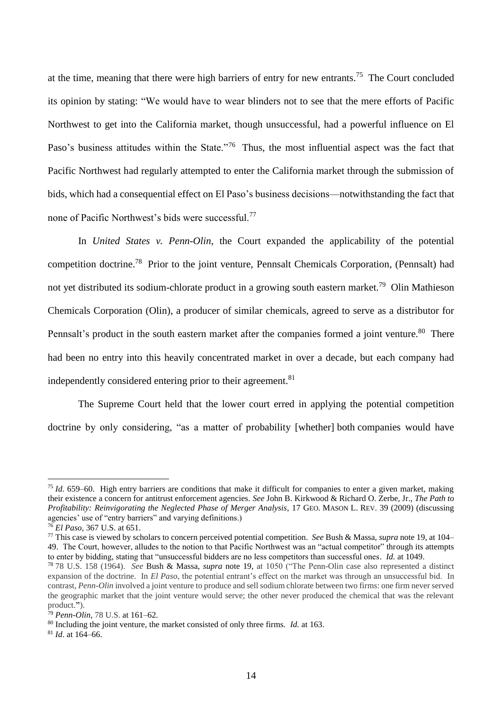at the time, meaning that there were high barriers of entry for new entrants.<sup>75</sup> The Court concluded its opinion by stating: "We would have to wear blinders not to see that the mere efforts of Pacific Northwest to get into the California market, though unsuccessful, had a powerful influence on El Paso's business attitudes within the State."<sup>76</sup> Thus, the most influential aspect was the fact that Pacific Northwest had regularly attempted to enter the California market through the submission of bids, which had a consequential effect on El Paso's business decisions—notwithstanding the fact that none of Pacific Northwest's bids were successful.<sup>77</sup>

<span id="page-13-0"></span>In *United States v. Penn-Olin*, the Court expanded the applicability of the potential competition doctrine.<sup>78</sup> Prior to the joint venture, Pennsalt Chemicals Corporation, (Pennsalt) had not yet distributed its sodium-chlorate product in a growing south eastern market.<sup>79</sup> Olin Mathieson Chemicals Corporation (Olin), a producer of similar chemicals, agreed to serve as a distributor for Pennsalt's product in the south eastern market after the companies formed a joint venture.<sup>80</sup> There had been no entry into this heavily concentrated market in over a decade, but each company had independently considered entering prior to their agreement.<sup>81</sup>

The Supreme Court held that the lower court erred in applying the potential competition doctrine by only considering, "as a matter of probability [whether] both companies would have

<sup>75</sup> *Id.* 659–60. High entry barriers are conditions that make it difficult for companies to enter a given market, making their existence a concern for antitrust enforcement agencies. *See* John B. Kirkwood & Richard O. Zerbe, Jr., *The Path to Profitability: Reinvigorating the Neglected Phase of Merger Analysis*, 17 GEO. MASON L. REV. 39 (2009) (discussing agencies' use of "entry barriers" and varying definitions.)

<sup>76</sup> *El Paso*, 367 U.S. at 651.

<sup>77</sup> This case is viewed by scholars to concern perceived potential competition. *See* Bush & Massa, *supra* note [19,](#page-3-1) at 104– 49. The Court, however, alludes to the notion to that Pacific Northwest was an "actual competitor" through its attempts to enter by bidding, stating that "unsuccessful bidders are no less competitors than successful ones. *Id.* at 1049.

<sup>78</sup> 78 U.S. 158 (1964). *See* Bush & Massa, *supra* note [19,](#page-3-1) at 1050 ("The Penn-Olin case also represented a distinct expansion of the doctrine. In *El Paso*, the potential entrant's effect on the market was through an unsuccessful bid. In contrast, *Penn-Olin* involved a joint venture to produce and sell sodium chlorate between two firms: one firm never served the geographic market that the joint venture would serve; the other never produced the chemical that was the relevant product.**"**).

<sup>79</sup> *Penn-Olin*, 78 U.S. at 161–62.

<sup>80</sup> Including the joint venture, the market consisted of only three firms. *Id.* at 163.

<sup>81</sup> *Id*. at 164–66.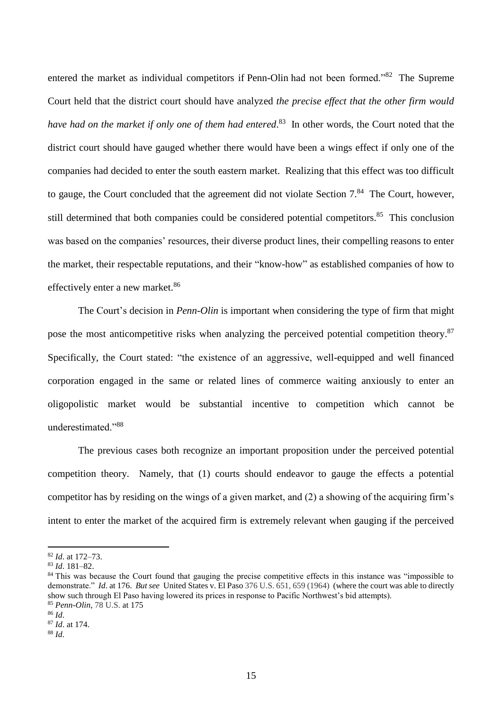entered the market as individual competitors if Penn-Olin had not been formed."<sup>82</sup> The Supreme Court held that the district court should have analyzed *the precise effect that the other firm would have had on the market if only one of them had entered*. 83 In other words, the Court noted that the district court should have gauged whether there would have been a wings effect if only one of the companies had decided to enter the south eastern market. Realizing that this effect was too difficult to gauge, the Court concluded that the agreement did not violate Section  $7<sup>84</sup>$ . The Court, however, still determined that both companies could be considered potential competitors.<sup>85</sup> This conclusion was based on the companies' resources, their diverse product lines, their compelling reasons to enter the market, their respectable reputations, and their "know-how" as established companies of how to effectively enter a new market.<sup>86</sup>

The Court's decision in *Penn-Olin* is important when considering the type of firm that might pose the most anticompetitive risks when analyzing the perceived potential competition theory.<sup>87</sup> Specifically, the Court stated: "the existence of an aggressive, well-equipped and well financed corporation engaged in the same or related lines of commerce waiting anxiously to enter an oligopolistic market would be substantial incentive to competition which cannot be underestimated."<sup>88</sup>

The previous cases both recognize an important proposition under the perceived potential competition theory. Namely, that (1) courts should endeavor to gauge the effects a potential competitor has by residing on the wings of a given market, and (2) a showing of the acquiring firm's intent to enter the market of the acquired firm is extremely relevant when gauging if the perceived

<sup>82</sup> *Id*. at 172–73.

<sup>83</sup> *Id*. 181–82.

<sup>&</sup>lt;sup>84</sup> This was because the Court found that gauging the precise competitive effects in this instance was "impossible to demonstrate." *Id*. at 176. *But see* United States v. El Paso 376 U.S. 651, 659 (1964) (where the court was able to directly show such through El Paso having lowered its prices in response to Pacific Northwest's bid attempts). <sup>85</sup> *Penn-Olin*, 78 U.S. at 175

<sup>86</sup> *Id*.

<sup>87</sup> *Id*. at 174.

<sup>88</sup> *Id*.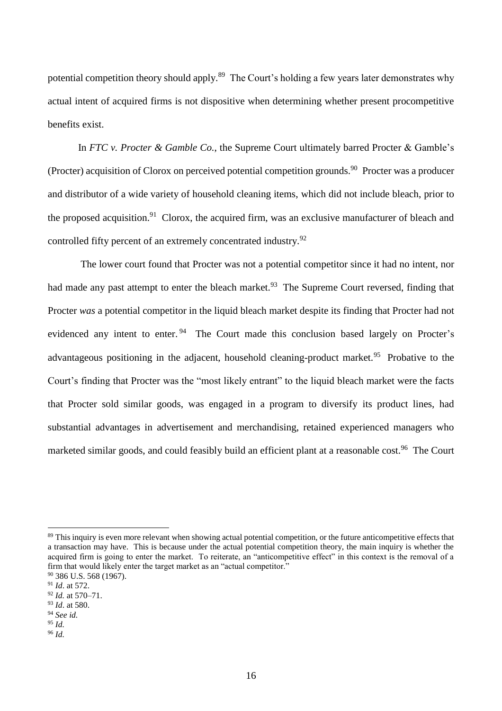potential competition theory should apply.<sup>89</sup> The Court's holding a few years later demonstrates why actual intent of acquired firms is not dispositive when determining whether present procompetitive benefits exist.

In *FTC v. Procter & Gamble Co.*, the Supreme Court ultimately barred Procter & Gamble's (Procter) acquisition of Clorox on perceived potential competition grounds.<sup>90</sup> Procter was a producer and distributor of a wide variety of household cleaning items, which did not include bleach, prior to the proposed acquisition.<sup>91</sup> Clorox, the acquired firm, was an exclusive manufacturer of bleach and controlled fifty percent of an extremely concentrated industry.<sup>92</sup>

The lower court found that Procter was not a potential competitor since it had no intent, nor had made any past attempt to enter the bleach market.<sup>93</sup> The Supreme Court reversed, finding that Procter *was* a potential competitor in the liquid bleach market despite its finding that Procter had not evidenced any intent to enter.<sup>94</sup> The Court made this conclusion based largely on Procter's advantageous positioning in the adjacent, household cleaning-product market.<sup>95</sup> Probative to the Court's finding that Procter was the "most likely entrant" to the liquid bleach market were the facts that Procter sold similar goods, was engaged in a program to diversify its product lines, had substantial advantages in advertisement and merchandising, retained experienced managers who marketed similar goods, and could feasibly build an efficient plant at a reasonable cost.<sup>96</sup> The Court

<sup>89</sup> This inquiry is even more relevant when showing actual potential competition, or the future anticompetitive effects that a transaction may have. This is because under the actual potential competition theory, the main inquiry is whether the acquired firm is going to enter the market. To reiterate, an "anticompetitive effect" in this context is the removal of a firm that would likely enter the target market as an "actual competitor."

<sup>90</sup> 386 U.S. 568 (1967).

<sup>91</sup> *Id*. at 572.

<sup>92</sup> *Id.* at 570–71. <sup>93</sup> *Id*. at 580.

<sup>94</sup> *See id.*

<sup>95</sup> *Id.*

<sup>96</sup> *Id.*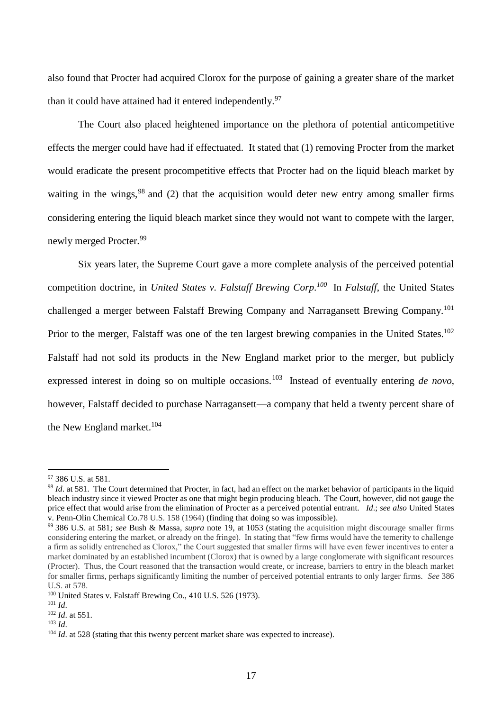also found that Procter had acquired Clorox for the purpose of gaining a greater share of the market than it could have attained had it entered independently.<sup>97</sup>

The Court also placed heightened importance on the plethora of potential anticompetitive effects the merger could have had if effectuated. It stated that (1) removing Procter from the market would eradicate the present procompetitive effects that Procter had on the liquid bleach market by waiting in the wings,  $98$  and (2) that the acquisition would deter new entry among smaller firms considering entering the liquid bleach market since they would not want to compete with the larger, newly merged Procter. 99

Six years later, the Supreme Court gave a more complete analysis of the perceived potential competition doctrine, in *United States v. Falstaff Brewing Corp. 100* In *Falstaff*, the United States challenged a merger between Falstaff Brewing Company and Narragansett Brewing Company.<sup>101</sup> Prior to the merger, Falstaff was one of the ten largest brewing companies in the United States.<sup>102</sup> Falstaff had not sold its products in the New England market prior to the merger, but publicly expressed interest in doing so on multiple occasions.<sup>103</sup> Instead of eventually entering *de novo*, however, Falstaff decided to purchase Narragansett—a company that held a twenty percent share of the New England market.<sup>104</sup>

<sup>97</sup> 386 U.S. at 581.

<sup>&</sup>lt;sup>98</sup> *Id.* at 581. The Court determined that Procter, in fact, had an effect on the market behavior of participants in the liquid bleach industry since it viewed Procter as one that might begin producing bleach. The Court, however, did not gauge the price effect that would arise from the elimination of Procter as a perceived potential entrant. *Id*.; *see also* United States v. Penn-Olin Chemical Co.78 U.S. 158 (1964) (finding that doing so was impossible).

<sup>99</sup> 386 U.S. at 581*; see* Bush & Massa, *supra* note [19,](#page-3-1) at 1053 (stating the acquisition might discourage smaller firms considering entering the market, or already on the fringe). In stating that "few firms would have the temerity to challenge a firm as solidly entrenched as Clorox," the Court suggested that smaller firms will have even fewer incentives to enter a market dominated by an established incumbent (Clorox) that is owned by a large conglomerate with significant resources (Procter). Thus, the Court reasoned that the transaction would create, or increase, barriers to entry in the bleach market for smaller firms, perhaps significantly limiting the number of perceived potential entrants to only larger firms. *See* 386 U.S. at 578.

<sup>100</sup> United States v. Falstaff Brewing Co., 410 U.S. 526 (1973).

 $101$  *Id.* 

<sup>102</sup> *Id*. at 551.

<sup>103</sup> *Id*.

<sup>&</sup>lt;sup>104</sup> *Id.* at 528 (stating that this twenty percent market share was expected to increase).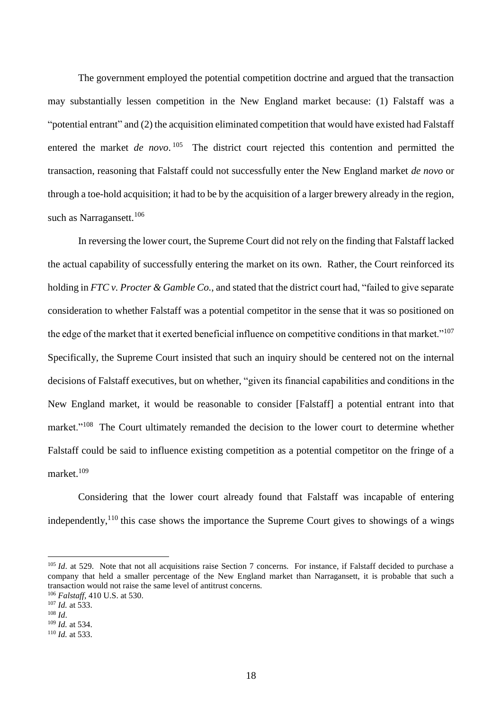The government employed the potential competition doctrine and argued that the transaction may substantially lessen competition in the New England market because: (1) Falstaff was a "potential entrant" and (2) the acquisition eliminated competition that would have existed had Falstaff entered the market *de novo*.<sup>105</sup> The district court rejected this contention and permitted the transaction, reasoning that Falstaff could not successfully enter the New England market *de novo* or through a toe-hold acquisition; it had to be by the acquisition of a larger brewery already in the region, such as Narragansett.<sup>106</sup>

In reversing the lower court, the Supreme Court did not rely on the finding that Falstaff lacked the actual capability of successfully entering the market on its own. Rather, the Court reinforced its holding in *FTC v. Procter & Gamble Co.*, and stated that the district court had, "failed to give separate consideration to whether Falstaff was a potential competitor in the sense that it was so positioned on the edge of the market that it exerted beneficial influence on competitive conditions in that market."<sup>107</sup> Specifically, the Supreme Court insisted that such an inquiry should be centered not on the internal decisions of Falstaff executives, but on whether, "given its financial capabilities and conditions in the New England market, it would be reasonable to consider [Falstaff] a potential entrant into that market."<sup>108</sup> The Court ultimately remanded the decision to the lower court to determine whether Falstaff could be said to influence existing competition as a potential competitor on the fringe of a market.<sup>109</sup>

Considering that the lower court already found that Falstaff was incapable of entering independently,  $110$  this case shows the importance the Supreme Court gives to showings of a wings

<sup>&</sup>lt;sup>105</sup> *Id.* at 529. Note that not all acquisitions raise Section 7 concerns. For instance, if Falstaff decided to purchase a company that held a smaller percentage of the New England market than Narragansett, it is probable that such a transaction would not raise the same level of antitrust concerns.

<sup>106</sup> *Falstaff,* 410 U.S. at 530.

<sup>107</sup> *Id.* at 533.

<sup>108</sup> *Id*.

<sup>109</sup> *Id.* at 534.

<sup>110</sup> *Id.* at 533.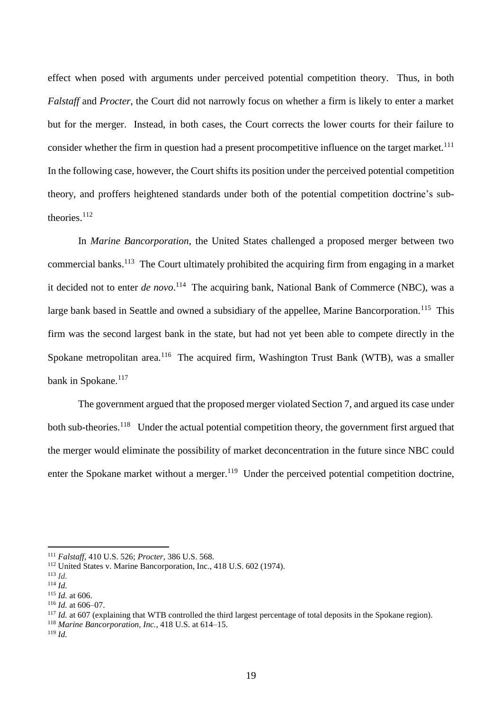effect when posed with arguments under perceived potential competition theory. Thus, in both *Falstaff* and *Procter*, the Court did not narrowly focus on whether a firm is likely to enter a market but for the merger. Instead, in both cases, the Court corrects the lower courts for their failure to consider whether the firm in question had a present procompetitive influence on the target market.<sup>111</sup> In the following case, however, the Court shifts its position under the perceived potential competition theory, and proffers heightened standards under both of the potential competition doctrine's subtheories.<sup>112</sup>

In *Marine Bancorporation*, the United States challenged a proposed merger between two commercial banks.<sup>113</sup> The Court ultimately prohibited the acquiring firm from engaging in a market it decided not to enter *de novo*. 114 The acquiring bank, National Bank of Commerce (NBC), was a large bank based in Seattle and owned a subsidiary of the appellee, Marine Bancorporation.<sup>115</sup> This firm was the second largest bank in the state, but had not yet been able to compete directly in the Spokane metropolitan area.<sup>116</sup> The acquired firm, Washington Trust Bank (WTB), was a smaller bank in Spokane.<sup>117</sup>

The government argued that the proposed merger violated Section 7, and argued its case under both sub-theories.<sup>118</sup> Under the actual potential competition theory, the government first argued that the merger would eliminate the possibility of market deconcentration in the future since NBC could enter the Spokane market without a merger.<sup>119</sup> Under the perceived potential competition doctrine,

<sup>111</sup> *Falstaff,* 410 U.S. 526; *Procter*, 386 U.S. 568.

<sup>112</sup> United States v. Marine Bancorporation, Inc., 418 U.S. 602 (1974).

<sup>113</sup> *Id.*

<sup>114</sup> *Id.*

<sup>115</sup> *Id.* at 606. <sup>116</sup> *Id.* at 606–07.

<sup>&</sup>lt;sup>117</sup> *Id.* at 607 (explaining that WTB controlled the third largest percentage of total deposits in the Spokane region).

<sup>118</sup> *Marine Bancorporation, Inc.*, 418 U.S. at 614–15.

<sup>119</sup> *Id.*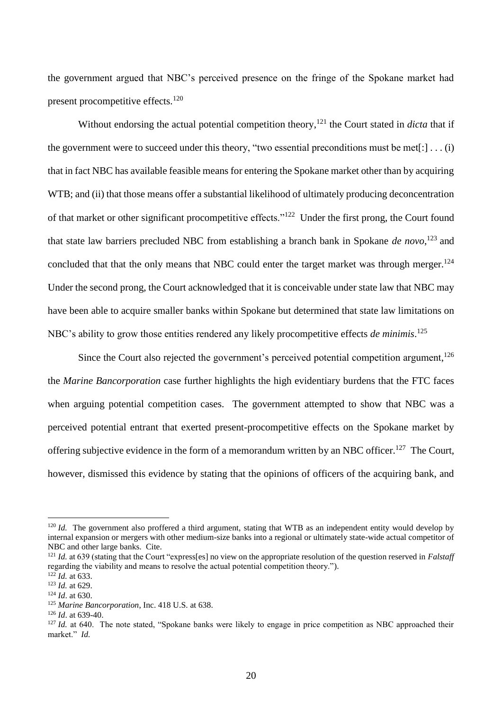the government argued that NBC's perceived presence on the fringe of the Spokane market had present procompetitive effects.<sup>120</sup>

Without endorsing the actual potential competition theory, <sup>121</sup> the Court stated in *dicta* that if the government were to succeed under this theory, "two essential preconditions must be met[: $|\dots(i)|$ that in fact NBC has available feasible means for entering the Spokane market other than by acquiring WTB; and (ii) that those means offer a substantial likelihood of ultimately producing deconcentration of that market or other significant procompetitive effects."<sup>122</sup> Under the first prong, the Court found that state law barriers precluded NBC from establishing a branch bank in Spokane *de novo*, <sup>123</sup> and concluded that that the only means that NBC could enter the target market was through merger.<sup>124</sup> Under the second prong, the Court acknowledged that it is conceivable under state law that NBC may have been able to acquire smaller banks within Spokane but determined that state law limitations on NBC's ability to grow those entities rendered any likely procompetitive effects *de minimis*. 125

Since the Court also rejected the government's perceived potential competition argument,<sup>126</sup> the *Marine Bancorporation* case further highlights the high evidentiary burdens that the FTC faces when arguing potential competition cases. The government attempted to show that NBC was a perceived potential entrant that exerted present-procompetitive effects on the Spokane market by offering subjective evidence in the form of a memorandum written by an NBC officer.<sup>127</sup> The Court, however, dismissed this evidence by stating that the opinions of officers of the acquiring bank, and

 $120$  *Id.* The government also proffered a third argument, stating that WTB as an independent entity would develop by internal expansion or mergers with other medium-size banks into a regional or ultimately state-wide actual competitor of NBC and other large banks. Cite.

<sup>121</sup> *Id.* at 639 (stating that the Court "express[es] no view on the appropriate resolution of the question reserved in *Falstaff*  regarding the viability and means to resolve the actual potential competition theory.").

<sup>122</sup> *Id.* at 633. <sup>123</sup> *Id.* at 629.

<sup>124</sup> *Id*. at 630.

<sup>125</sup> *Marine Bancorporation*, Inc. 418 U.S. at 638.

<sup>126</sup> *Id*. at 639-40.

<sup>&</sup>lt;sup>127</sup> *Id.* at 640. The note stated, "Spokane banks were likely to engage in price competition as NBC approached their market." *Id.*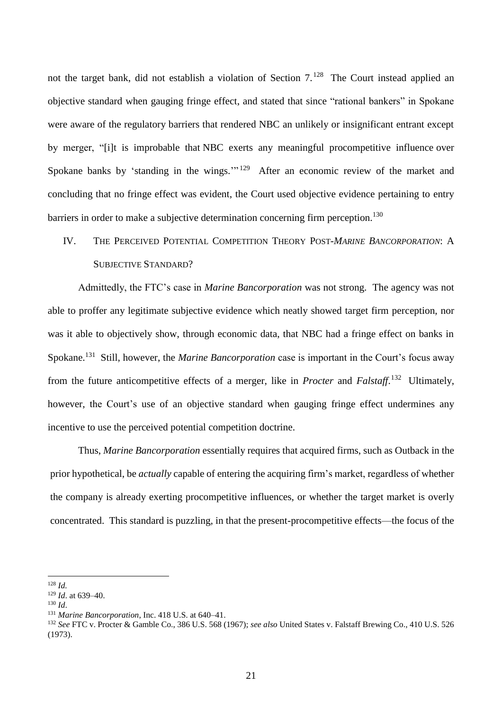not the target bank, did not establish a violation of Section 7.<sup>128</sup> The Court instead applied an objective standard when gauging fringe effect, and stated that since "rational bankers" in Spokane were aware of the regulatory barriers that rendered NBC an unlikely or insignificant entrant except by merger, "[i]t is improbable that NBC exerts any meaningful procompetitive influence over Spokane banks by 'standing in the wings."<sup>129</sup> After an economic review of the market and concluding that no fringe effect was evident, the Court used objective evidence pertaining to entry barriers in order to make a subjective determination concerning firm perception.<sup>130</sup>

## IV. THE PERCEIVED POTENTIAL COMPETITION THEORY POST*-MARINE BANCORPORATION*: A SUBJECTIVE STANDARD?

Admittedly, the FTC's case in *Marine Bancorporation* was not strong. The agency was not able to proffer any legitimate subjective evidence which neatly showed target firm perception, nor was it able to objectively show, through economic data, that NBC had a fringe effect on banks in Spokane.<sup>131</sup> Still, however, the *Marine Bancorporation* case is important in the Court's focus away from the future anticompetitive effects of a merger, like in *Procter* and *Falstaff*. <sup>132</sup> Ultimately, however, the Court's use of an objective standard when gauging fringe effect undermines any incentive to use the perceived potential competition doctrine.

Thus, *Marine Bancorporation* essentially requires that acquired firms, such as Outback in the prior hypothetical, be *actually* capable of entering the acquiring firm's market, regardless of whether the company is already exerting procompetitive influences, or whether the target market is overly concentrated. This standard is puzzling, in that the present-procompetitive effects—the focus of the

<sup>128</sup> *Id.*

<sup>129</sup> *Id*. at 639–40.

<sup>130</sup> *Id*.

<sup>131</sup> *Marine Bancorporation*, Inc. 418 U.S. at 640–41.

<sup>132</sup> *See* FTC v. Procter & Gamble Co., 386 U.S. 568 (1967); *see also* United States v. Falstaff Brewing Co., 410 U.S. 526 (1973).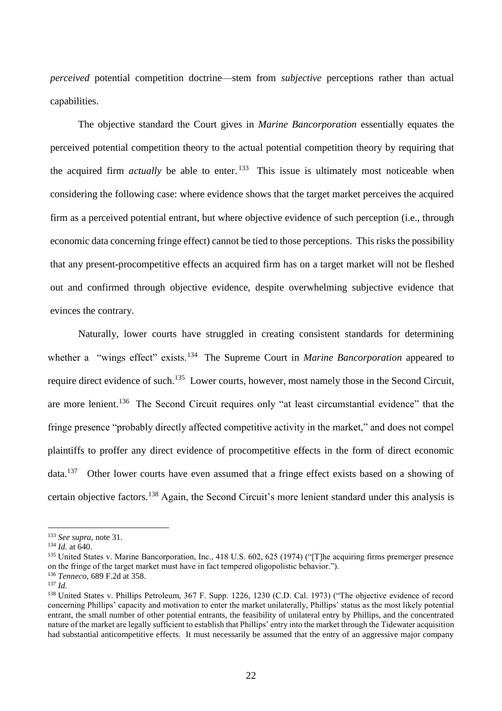*perceived* potential competition doctrine—stem from *subjective* perceptions rather than actual capabilities.

The objective standard the Court gives in *Marine Bancorporation* essentially equates the perceived potential competition theory to the actual potential competition theory by requiring that the acquired firm *actually* be able to enter. <sup>133</sup> This issue is ultimately most noticeable when considering the following case: where evidence shows that the target market perceives the acquired firm as a perceived potential entrant, but where objective evidence of such perception (i.e., through economic data concerning fringe effect) cannot be tied to those perceptions. This risks the possibility that any present-procompetitive effects an acquired firm has on a target market will not be fleshed out and confirmed through objective evidence, despite overwhelming subjective evidence that evinces the contrary.

Naturally, lower courts have struggled in creating consistent standards for determining whether a "wings effect" exists.<sup>134</sup> The Supreme Court in *Marine Bancorporation* appeared to require direct evidence of such.<sup>135</sup> Lower courts, however, most namely those in the Second Circuit, are more lenient.<sup>136</sup> The Second Circuit requires only "at least circumstantial evidence" that the fringe presence "probably directly affected competitive activity in the market," and does not compel plaintiffs to proffer any direct evidence of procompetitive effects in the form of direct economic data.<sup>137</sup> Other lower courts have even assumed that a fringe effect exists based on a showing of certain objective factors.<sup>138</sup> Again, the Second Circuit's more lenient standard under this analysis is

<sup>133</sup> *See supra*, note [31.](#page-6-0)

<sup>134</sup> *Id.* at 640.

<sup>&</sup>lt;sup>135</sup> United States v. Marine Bancorporation, Inc., 418 U.S. 602, 625 (1974) ("[T]he acquiring firms premerger presence on the fringe of the target market must have in fact tempered oligopolistic behavior.").

<sup>136</sup> *Tenneco*, 689 F.2d at 358.

<sup>137</sup> *Id.* 

<sup>&</sup>lt;sup>138</sup> United States v. Phillips Petroleum, 367 F. Supp. 1226, 1230 (C.D. Cal. 1973) ("The objective evidence of record concerning Phillips' capacity and motivation to enter the market unilaterally, Phillips' status as the most likely potential entrant, the small number of other potential entrants, the feasibility of unilateral entry by Phillips, and the concentrated nature of the market are legally sufficient to establish that Phillips' entry into the market through the Tidewater acquisition had substantial anticompetitive effects. It must necessarily be assumed that the entry of an aggressive major company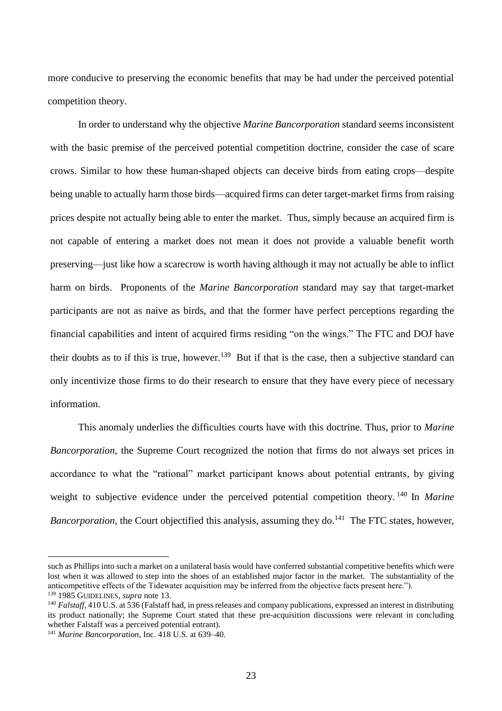more conducive to preserving the economic benefits that may be had under the perceived potential competition theory.

In order to understand why the objective *Marine Bancorporation* standard seems inconsistent with the basic premise of the perceived potential competition doctrine, consider the case of scare crows. Similar to how these human-shaped objects can deceive birds from eating crops—despite being unable to actually harm those birds—acquired firms can deter target-market firms from raising prices despite not actually being able to enter the market. Thus, simply because an acquired firm is not capable of entering a market does not mean it does not provide a valuable benefit worth preserving—just like how a scarecrow is worth having although it may not actually be able to inflict harm on birds. Proponents of the *Marine Bancorporation* standard may say that target-market participants are not as naive as birds, and that the former have perfect perceptions regarding the financial capabilities and intent of acquired firms residing "on the wings." The FTC and DOJ have their doubts as to if this is true, however.<sup>139</sup> But if that is the case, then a subjective standard can only incentivize those firms to do their research to ensure that they have every piece of necessary information.

This anomaly underlies the difficulties courts have with this doctrine. Thus, prior to *Marine Bancorporation*, the Supreme Court recognized the notion that firms do not always set prices in accordance to what the "rational" market participant knows about potential entrants, by giving weight to subjective evidence under the perceived potential competition theory. <sup>140</sup> In *Marine*  Bancorporation, the Court objectified this analysis, assuming they do.<sup>141</sup> The FTC states, however,

such as Phillips into such a market on a unilateral basis would have conferred substantial competitive benefits which were lost when it was allowed to step into the shoes of an established major factor in the market. The substantiality of the anticompetitive effects of the Tidewater acquisition may be inferred from the objective facts present here."). <sup>139</sup> 1985 GUIDELINES, *supra* note [13.](#page-3-0)

<sup>&</sup>lt;sup>140</sup> *Falstaff*, 410 U.S. at 536 (Falstaff had, in press releases and company publications, expressed an interest in distributing its product nationally; the Supreme Court stated that these pre-acquisition discussions were relevant in concluding whether Falstaff was a perceived potential entrant).

<sup>141</sup> *Marine Bancorporation*, Inc. 418 U.S. at 639–40.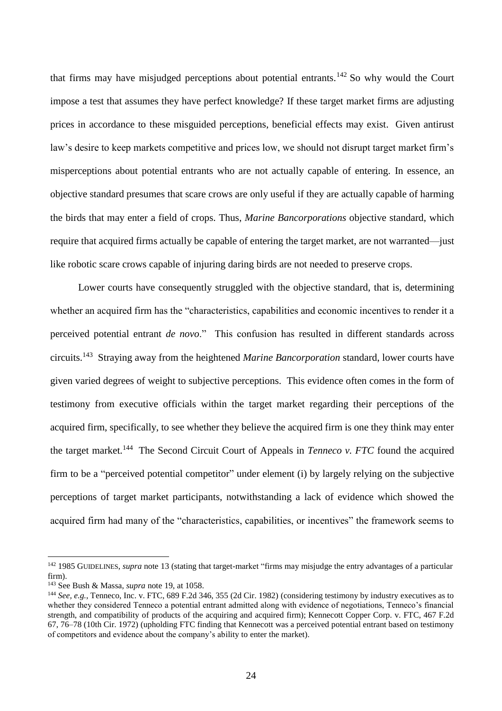that firms may have misjudged perceptions about potential entrants.<sup>142</sup> So why would the Court impose a test that assumes they have perfect knowledge? If these target market firms are adjusting prices in accordance to these misguided perceptions, beneficial effects may exist. Given antirust law's desire to keep markets competitive and prices low, we should not disrupt target market firm's misperceptions about potential entrants who are not actually capable of entering. In essence, an objective standard presumes that scare crows are only useful if they are actually capable of harming the birds that may enter a field of crops. Thus, *Marine Bancorporations* objective standard, which require that acquired firms actually be capable of entering the target market, are not warranted—just like robotic scare crows capable of injuring daring birds are not needed to preserve crops.

Lower courts have consequently struggled with the objective standard, that is, determining whether an acquired firm has the "characteristics, capabilities and economic incentives to render it a perceived potential entrant *de novo*." This confusion has resulted in different standards across circuits.<sup>143</sup> Straying away from the heightened *Marine Bancorporation* standard, lower courts have given varied degrees of weight to subjective perceptions. This evidence often comes in the form of testimony from executive officials within the target market regarding their perceptions of the acquired firm, specifically, to see whether they believe the acquired firm is one they think may enter the target market.<sup>144</sup> The Second Circuit Court of Appeals in *Tenneco v. FTC* found the acquired firm to be a "perceived potential competitor" under element (i) by largely relying on the subjective perceptions of target market participants, notwithstanding a lack of evidence which showed the acquired firm had many of the "characteristics, capabilities, or incentives" the framework seems to

<sup>&</sup>lt;sup>142</sup> 1985 GUIDELINES, *supra* note [13](#page-3-0) (stating that target-market "firms may misjudge the entry advantages of a particular firm).

<sup>143</sup> See Bush & Massa, *supra* note [19,](#page-3-1) at 1058.

<sup>&</sup>lt;sup>144</sup> See, e.g., Tenneco, Inc. v. FTC, 689 F.2d 346, 355 (2d Cir. 1982) (considering testimony by industry executives as to whether they considered Tenneco a potential entrant admitted along with evidence of negotiations, Tenneco's financial strength, and compatibility of products of the acquiring and acquired firm); Kennecott Copper Corp. v. FTC, 467 F.2d 67, 76–78 (10th Cir. 1972) (upholding FTC finding that Kennecott was a perceived potential entrant based on testimony of competitors and evidence about the company's ability to enter the market).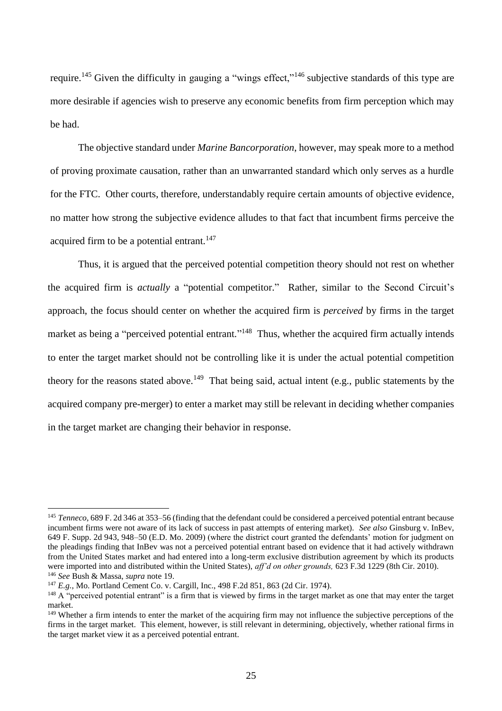require.<sup>145</sup> Given the difficulty in gauging a "wings effect,"<sup>146</sup> subjective standards of this type are more desirable if agencies wish to preserve any economic benefits from firm perception which may be had.

The objective standard under *Marine Bancorporation*, however, may speak more to a method of proving proximate causation, rather than an unwarranted standard which only serves as a hurdle for the FTC. Other courts, therefore, understandably require certain amounts of objective evidence, no matter how strong the subjective evidence alludes to that fact that incumbent firms perceive the acquired firm to be a potential entrant.<sup>147</sup>

Thus, it is argued that the perceived potential competition theory should not rest on whether the acquired firm is *actually* a "potential competitor." Rather, similar to the Second Circuit's approach, the focus should center on whether the acquired firm is *perceived* by firms in the target market as being a "perceived potential entrant."<sup>148</sup> Thus, whether the acquired firm actually intends to enter the target market should not be controlling like it is under the actual potential competition theory for the reasons stated above.<sup>149</sup> That being said, actual intent (e.g., public statements by the acquired company pre-merger) to enter a market may still be relevant in deciding whether companies in the target market are changing their behavior in response.

<sup>145</sup> *Tenneco*, 689 F. 2d 346 at 353–56 (finding that the defendant could be considered a perceived potential entrant because incumbent firms were not aware of its lack of success in past attempts of entering market). *See also* Ginsburg v. InBev, 649 F. Supp. 2d 943, 948–50 (E.D. Mo. 2009) (where the district court granted the defendants' motion for judgment on the pleadings finding that InBev was not a perceived potential entrant based on evidence that it had actively withdrawn from the United States market and had entered into a long-term exclusive distribution agreement by which its products were imported into and distributed within the United States), *aff'd on other grounds,* 623 F.3d 1229 (8th Cir. 2010). <sup>146</sup> *See* Bush & Massa, *supra* note [19.](#page-3-1)

<sup>147</sup> *E.g.*, Mo. Portland Cement Co. v. Cargill, Inc., 498 F.2d 851, 863 (2d Cir. 1974).

<sup>&</sup>lt;sup>148</sup> A "perceived potential entrant" is a firm that is viewed by firms in the target market as one that may enter the target market.

<sup>&</sup>lt;sup>149</sup> Whether a firm intends to enter the market of the acquiring firm may not influence the subjective perceptions of the firms in the target market. This element, however, is still relevant in determining, objectively, whether rational firms in the target market view it as a perceived potential entrant.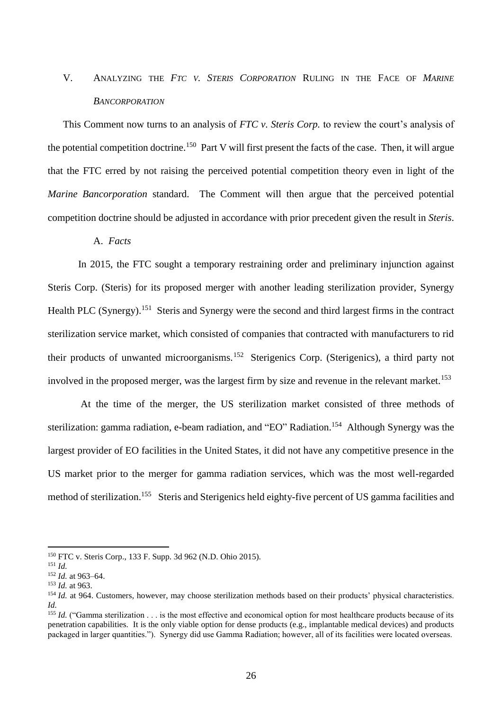### V. ANALYZING THE *FTC V. STERIS CORPORATION* RULING IN THE FACE OF *MARINE BANCORPORATION*

This Comment now turns to an analysis of *FTC v. Steris Corp.* to review the court's analysis of the potential competition doctrine.<sup>150</sup> Part V will first present the facts of the case. Then, it will argue that the FTC erred by not raising the perceived potential competition theory even in light of the *Marine Bancorporation* standard. The Comment will then argue that the perceived potential competition doctrine should be adjusted in accordance with prior precedent given the result in *Steris*.

### A. *Facts*

In 2015, the FTC sought a temporary restraining order and preliminary injunction against Steris Corp. (Steris) for its proposed merger with another leading sterilization provider, Synergy Health PLC (Synergy).<sup>151</sup> Steris and Synergy were the second and third largest firms in the contract sterilization service market, which consisted of companies that contracted with manufacturers to rid their products of unwanted microorganisms.<sup>152</sup> Sterigenics Corp. (Sterigenics), a third party not involved in the proposed merger, was the largest firm by size and revenue in the relevant market.<sup>153</sup>

At the time of the merger, the US sterilization market consisted of three methods of sterilization: gamma radiation, e-beam radiation, and "EO" Radiation.<sup>154</sup> Although Synergy was the largest provider of EO facilities in the United States, it did not have any competitive presence in the US market prior to the merger for gamma radiation services, which was the most well-regarded method of sterilization.<sup>155</sup> Steris and Sterigenics held eighty-five percent of US gamma facilities and

<sup>150</sup> FTC v. Steris Corp., 133 F. Supp. 3d 962 (N.D. Ohio 2015).

<sup>151</sup> *Id.*

<sup>152</sup> *Id.* at 963–64.

<sup>153</sup> *Id.* at 963.

<sup>&</sup>lt;sup>154</sup> *Id.* at 964. Customers, however, may choose sterilization methods based on their products' physical characteristics. *Id.*

<sup>&</sup>lt;sup>155</sup> *Id.* ("Gamma sterilization . . . is the most effective and economical option for most healthcare products because of its penetration capabilities. It is the only viable option for dense products (e.g., implantable medical devices) and products packaged in larger quantities."). Synergy did use Gamma Radiation; however, all of its facilities were located overseas.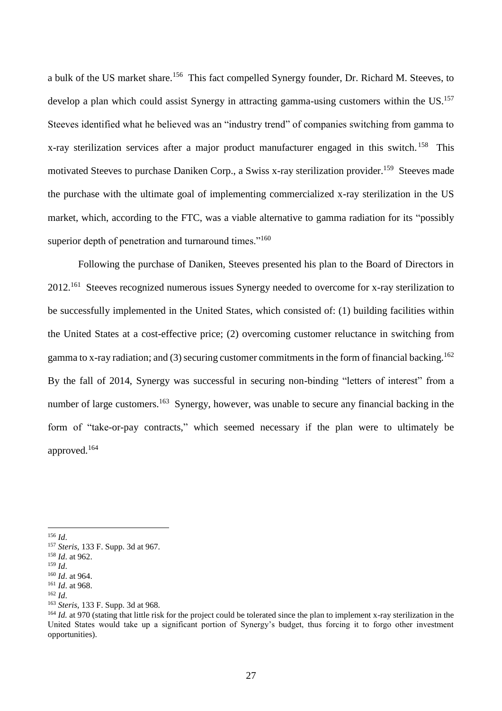a bulk of the US market share.<sup>156</sup> This fact compelled Synergy founder, Dr. Richard M. Steeves, to develop a plan which could assist Synergy in attracting gamma-using customers within the US.<sup>157</sup> Steeves identified what he believed was an "industry trend" of companies switching from gamma to x-ray sterilization services after a major product manufacturer engaged in this switch.<sup>158</sup> This motivated Steeves to purchase Daniken Corp., a Swiss x-ray sterilization provider.<sup>159</sup> Steeves made the purchase with the ultimate goal of implementing commercialized x-ray sterilization in the US market, which, according to the FTC, was a viable alternative to gamma radiation for its "possibly superior depth of penetration and turnaround times."<sup>160</sup>

Following the purchase of Daniken, Steeves presented his plan to the Board of Directors in 2012.<sup>161</sup> Steeves recognized numerous issues Synergy needed to overcome for x-ray sterilization to be successfully implemented in the United States, which consisted of: (1) building facilities within the United States at a cost-effective price; (2) overcoming customer reluctance in switching from gamma to x-ray radiation; and (3) securing customer commitments in the form of financial backing.<sup>162</sup> By the fall of 2014, Synergy was successful in securing non-binding "letters of interest" from a number of large customers.<sup>163</sup> Synergy, however, was unable to secure any financial backing in the form of "take-or-pay contracts," which seemed necessary if the plan were to ultimately be approved.<sup>164</sup>

<sup>156</sup> *Id*.

<sup>157</sup> *Steris*, 133 F. Supp. 3d at 967.

<sup>158</sup> *Id*. at 962. <sup>159</sup> *Id*.

<sup>160</sup> *Id*. at 964. <sup>161</sup> *Id*. at 968.

<sup>162</sup> *Id*.

<sup>163</sup> *Steris*, 133 F. Supp. 3d at 968.

<sup>&</sup>lt;sup>164</sup> *Id.* at 970 (stating that little risk for the project could be tolerated since the plan to implement x-ray sterilization in the United States would take up a significant portion of Synergy's budget, thus forcing it to forgo other investment opportunities).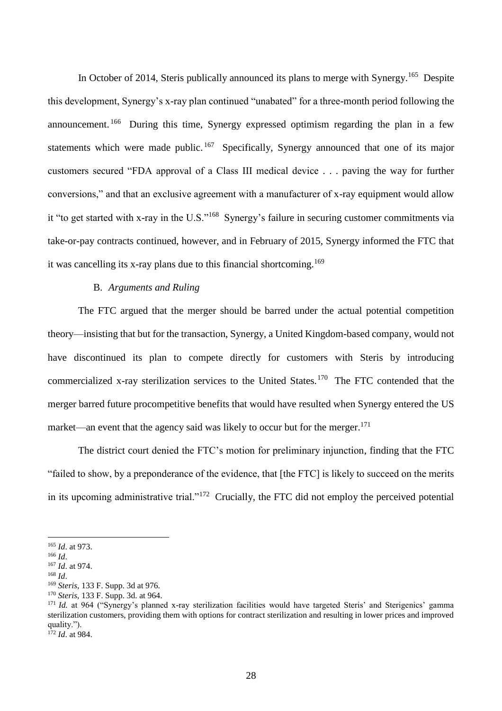In October of 2014, Steris publically announced its plans to merge with Synergy.<sup>165</sup> Despite this development, Synergy's x-ray plan continued "unabated" for a three-month period following the announcement.<sup>166</sup> During this time, Synergy expressed optimism regarding the plan in a few statements which were made public.<sup>167</sup> Specifically, Synergy announced that one of its major customers secured "FDA approval of a Class III medical device . . . paving the way for further conversions," and that an exclusive agreement with a manufacturer of x-ray equipment would allow it "to get started with x-ray in the U.S."<sup>168</sup> Synergy's failure in securing customer commitments via take-or-pay contracts continued, however, and in February of 2015, Synergy informed the FTC that it was cancelling its x-ray plans due to this financial shortcoming.<sup>169</sup>

### B. *Arguments and Ruling*

The FTC argued that the merger should be barred under the actual potential competition theory—insisting that but for the transaction, Synergy, a United Kingdom-based company, would not have discontinued its plan to compete directly for customers with Steris by introducing commercialized x-ray sterilization services to the United States.<sup>170</sup> The FTC contended that the merger barred future procompetitive benefits that would have resulted when Synergy entered the US market—an event that the agency said was likely to occur but for the merger.<sup>171</sup>

The district court denied the FTC's motion for preliminary injunction, finding that the FTC "failed to show, by a preponderance of the evidence, that [the FTC] is likely to succeed on the merits in its upcoming administrative trial."<sup>172</sup> Crucially, the FTC did not employ the perceived potential

<sup>165</sup> *Id*. at 973.

<sup>166</sup> *Id*.

<sup>167</sup> *Id*. at 974.

<sup>168</sup> *Id*.

<sup>169</sup> *Steris*, 133 F. Supp. 3d at 976.

<sup>170</sup> *Steris*, 133 F. Supp. 3d. at 964.

<sup>&</sup>lt;sup>171</sup> *Id.* at 964 ("Synergy's planned x-ray sterilization facilities would have targeted Steris' and Sterigenics' gamma sterilization customers, providing them with options for contract sterilization and resulting in lower prices and improved quality.").

 $1^{72}$  *Id.* at 984.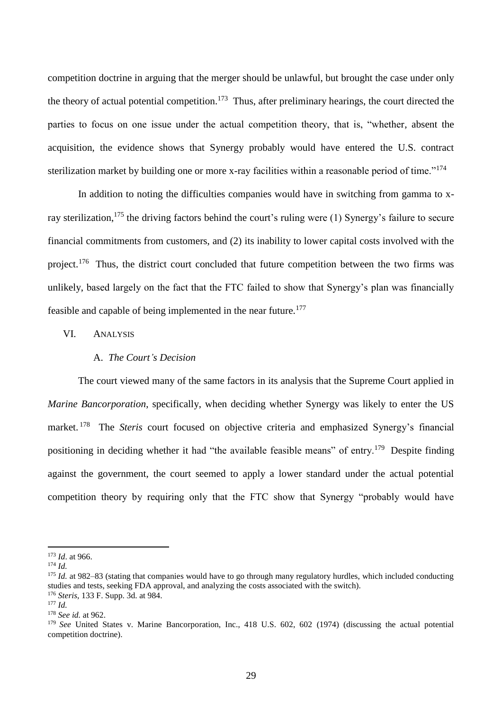competition doctrine in arguing that the merger should be unlawful, but brought the case under only the theory of actual potential competition.<sup>173</sup> Thus, after preliminary hearings, the court directed the parties to focus on one issue under the actual competition theory, that is, "whether, absent the acquisition, the evidence shows that Synergy probably would have entered the U.S. contract sterilization market by building one or more x-ray facilities within a reasonable period of time."<sup>174</sup>

In addition to noting the difficulties companies would have in switching from gamma to xray sterilization,<sup>175</sup> the driving factors behind the court's ruling were (1) Synergy's failure to secure financial commitments from customers, and (2) its inability to lower capital costs involved with the project.<sup>176</sup> Thus, the district court concluded that future competition between the two firms was unlikely, based largely on the fact that the FTC failed to show that Synergy's plan was financially feasible and capable of being implemented in the near future.<sup>177</sup>

### VI. ANALYSIS

### A. *The Court's Decision*

The court viewed many of the same factors in its analysis that the Supreme Court applied in *Marine Bancorporation*, specifically, when deciding whether Synergy was likely to enter the US market. <sup>178</sup> The *Steris* court focused on objective criteria and emphasized Synergy's financial positioning in deciding whether it had "the available feasible means" of entry.<sup>179</sup> Despite finding against the government, the court seemed to apply a lower standard under the actual potential competition theory by requiring only that the FTC show that Synergy "probably would have

<sup>173</sup> *Id*. at 966.

<sup>174</sup> *Id.*

<sup>175</sup> *Id.* at 982–83 (stating that companies would have to go through many regulatory hurdles, which included conducting studies and tests, seeking FDA approval, and analyzing the costs associated with the switch).

<sup>176</sup> *Steris*, 133 F. Supp. 3d. at 984.

<sup>177</sup> *Id.*

<sup>178</sup> *See id.* at 962.

<sup>179</sup> *See* United States v. Marine Bancorporation, Inc., 418 U.S. 602, 602 (1974) (discussing the actual potential competition doctrine).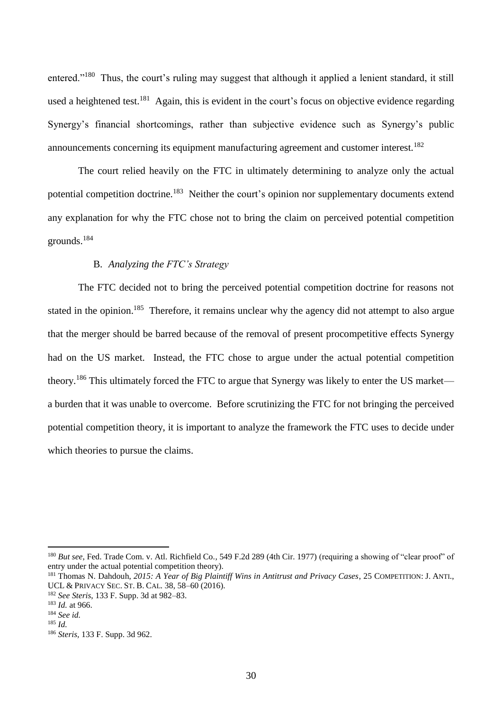entered."<sup>180</sup> Thus, the court's ruling may suggest that although it applied a lenient standard, it still used a heightened test.<sup>181</sup> Again, this is evident in the court's focus on objective evidence regarding Synergy's financial shortcomings, rather than subjective evidence such as Synergy's public announcements concerning its equipment manufacturing agreement and customer interest.<sup>182</sup>

The court relied heavily on the FTC in ultimately determining to analyze only the actual potential competition doctrine.<sup>183</sup> Neither the court's opinion nor supplementary documents extend any explanation for why the FTC chose not to bring the claim on perceived potential competition grounds.<sup>184</sup>

### B. *Analyzing the FTC's Strategy*

The FTC decided not to bring the perceived potential competition doctrine for reasons not stated in the opinion.<sup>185</sup> Therefore, it remains unclear why the agency did not attempt to also argue that the merger should be barred because of the removal of present procompetitive effects Synergy had on the US market. Instead, the FTC chose to argue under the actual potential competition theory.<sup>186</sup> This ultimately forced the FTC to argue that Synergy was likely to enter the US market a burden that it was unable to overcome. Before scrutinizing the FTC for not bringing the perceived potential competition theory, it is important to analyze the framework the FTC uses to decide under which theories to pursue the claims.

<sup>180</sup> *But see*, Fed. Trade Com. v. Atl. Richfield Co.*,* 549 F.2d 289 (4th Cir. 1977) (requiring a showing of "clear proof" of entry under the actual potential competition theory).

<sup>181</sup> Thomas N. Dahdouh, *2015: A Year of Big Plaintiff Wins in Antitrust and Privacy Cases*, 25 COMPETITION: J. ANTI., UCL & PRIVACY SEC. ST. B. CAL. 38, 58–60 (2016).

<sup>182</sup> *See Steris*, 133 F. Supp. 3d at 982–83.

<sup>183</sup> *Id.* at 966.

<sup>184</sup> *See id.*

<sup>185</sup> *Id.*

<sup>186</sup> *Steris,* 133 F. Supp. 3d 962.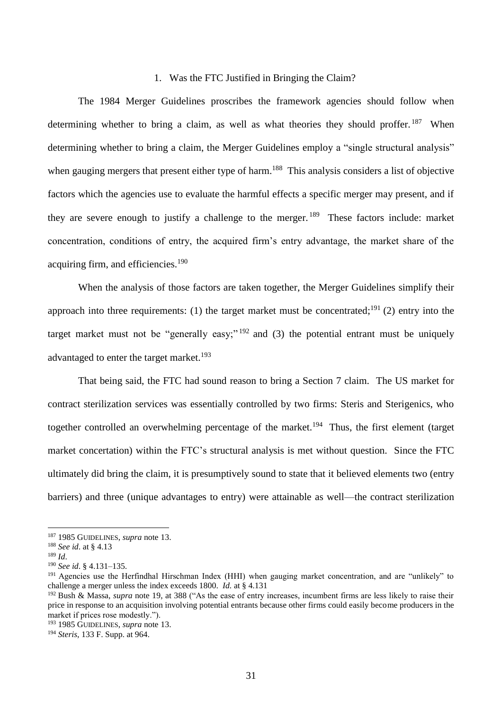### 1. Was the FTC Justified in Bringing the Claim?

The 1984 Merger Guidelines proscribes the framework agencies should follow when determining whether to bring a claim, as well as what theories they should proffer.<sup>187</sup> When determining whether to bring a claim, the Merger Guidelines employ a "single structural analysis" when gauging mergers that present either type of harm.<sup>188</sup> This analysis considers a list of objective factors which the agencies use to evaluate the harmful effects a specific merger may present, and if they are severe enough to justify a challenge to the merger.<sup>189</sup> These factors include: market concentration, conditions of entry, the acquired firm's entry advantage, the market share of the acquiring firm, and efficiencies.<sup>190</sup>

When the analysis of those factors are taken together, the Merger Guidelines simplify their approach into three requirements: (1) the target market must be concentrated;<sup>191</sup> (2) entry into the target market must not be "generally easy;"<sup>192</sup> and (3) the potential entrant must be uniquely advantaged to enter the target market.<sup>193</sup>

That being said, the FTC had sound reason to bring a Section 7 claim. The US market for contract sterilization services was essentially controlled by two firms: Steris and Sterigenics, who together controlled an overwhelming percentage of the market.<sup>194</sup> Thus, the first element (target market concertation) within the FTC's structural analysis is met without question. Since the FTC ultimately did bring the claim, it is presumptively sound to state that it believed elements two (entry barriers) and three (unique advantages to entry) were attainable as well—the contract sterilization

<sup>187</sup> 1985 GUIDELINES, *supra* note [13.](#page-3-0)

<sup>188</sup> *See id*. at § 4.13

<sup>189</sup> *Id*.

<sup>190</sup> *See id*. § 4.131–135.

<sup>&</sup>lt;sup>191</sup> Agencies use the Herfindhal Hirschman Index (HHI) when gauging market concentration, and are "unlikely" to challenge a merger unless the index exceeds 1800. *Id.* at § 4.131

<sup>192</sup> Bush & Massa, *supra* note [19,](#page-3-1) at 388 ("As the ease of entry increases, incumbent firms are less likely to raise their price in response to an acquisition involving potential entrants because other firms could easily become producers in the market if prices rose modestly.").

<sup>193</sup> 1985 GUIDELINES, *supra* note [13.](#page-3-0)

<sup>194</sup> *Steris*, 133 F. Supp. at 964.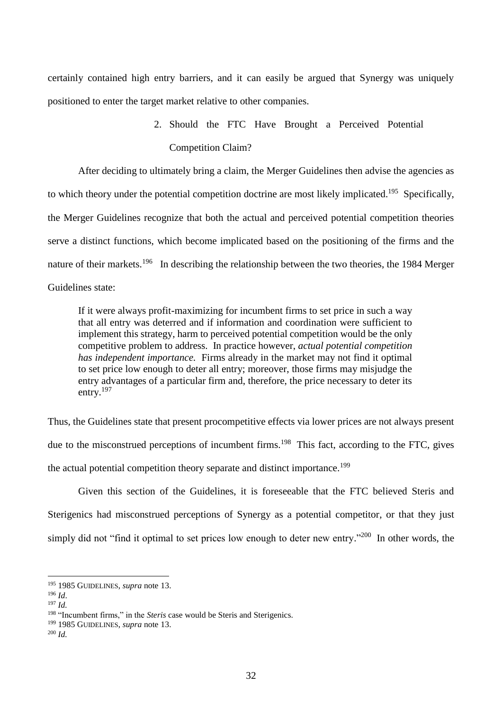certainly contained high entry barriers, and it can easily be argued that Synergy was uniquely positioned to enter the target market relative to other companies.

> 2. Should the FTC Have Brought a Perceived Potential Competition Claim?

After deciding to ultimately bring a claim, the Merger Guidelines then advise the agencies as to which theory under the potential competition doctrine are most likely implicated.<sup>195</sup> Specifically, the Merger Guidelines recognize that both the actual and perceived potential competition theories serve a distinct functions, which become implicated based on the positioning of the firms and the nature of their markets.<sup>196</sup> In describing the relationship between the two theories, the 1984 Merger Guidelines state:

If it were always profit-maximizing for incumbent firms to set price in such a way that all entry was deterred and if information and coordination were sufficient to implement this strategy, harm to perceived potential competition would be the only competitive problem to address. In practice however, *actual potential competition has independent importance.* Firms already in the market may not find it optimal to set price low enough to deter all entry; moreover, those firms may misjudge the entry advantages of a particular firm and, therefore, the price necessary to deter its entry.<sup>197</sup>

Thus, the Guidelines state that present procompetitive effects via lower prices are not always present due to the misconstrued perceptions of incumbent firms.<sup>198</sup> This fact, according to the FTC, gives the actual potential competition theory separate and distinct importance.<sup>199</sup>

Given this section of the Guidelines, it is foreseeable that the FTC believed Steris and Sterigenics had misconstrued perceptions of Synergy as a potential competitor, or that they just simply did not "find it optimal to set prices low enough to deter new entry."<sup>200</sup> In other words, the

<sup>195</sup> 1985 GUIDELINES, *supra* note [13.](#page-3-0)

<sup>196</sup> *Id*.

<sup>197</sup> *Id.* 

<sup>&</sup>lt;sup>198</sup> "Incumbent firms," in the *Steris* case would be Steris and Sterigenics.

<sup>199</sup> 1985 GUIDELINES, *supra* note [13.](#page-3-0)

<sup>200</sup> *Id.*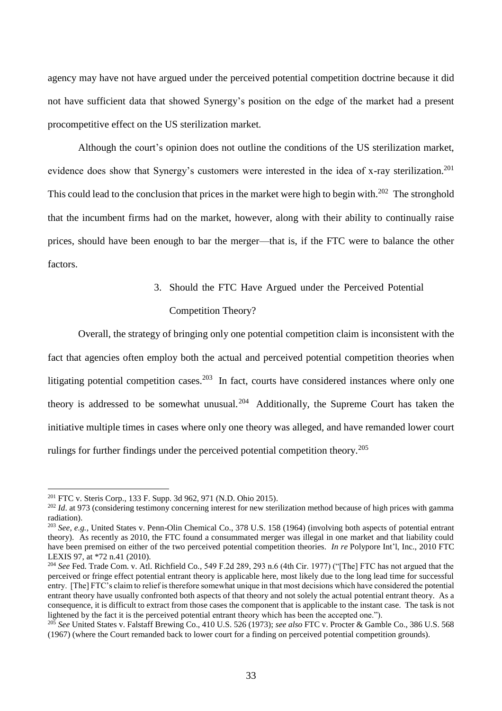agency may have not have argued under the perceived potential competition doctrine because it did not have sufficient data that showed Synergy's position on the edge of the market had a present procompetitive effect on the US sterilization market.

Although the court's opinion does not outline the conditions of the US sterilization market, evidence does show that Synergy's customers were interested in the idea of x-ray sterilization.<sup>201</sup> This could lead to the conclusion that prices in the market were high to begin with.<sup>202</sup> The stronghold that the incumbent firms had on the market, however, along with their ability to continually raise prices, should have been enough to bar the merger—that is, if the FTC were to balance the other factors.

3. Should the FTC Have Argued under the Perceived Potential

### Competition Theory?

Overall, the strategy of bringing only one potential competition claim is inconsistent with the fact that agencies often employ both the actual and perceived potential competition theories when litigating potential competition cases.<sup>203</sup> In fact, courts have considered instances where only one theory is addressed to be somewhat unusual.<sup>204</sup> Additionally, the Supreme Court has taken the initiative multiple times in cases where only one theory was alleged, and have remanded lower court rulings for further findings under the perceived potential competition theory.<sup>205</sup>

<sup>201</sup> FTC v. Steris Corp., 133 F. Supp. 3d 962, 971 (N.D. Ohio 2015)*.*

<sup>&</sup>lt;sup>202</sup> *Id.* at 973 (considering testimony concerning interest for new sterilization method because of high prices with gamma radiation).

<sup>203</sup> *See, e.g.*, United States v. Penn-Olin Chemical Co., 378 U.S. 158 (1964) (involving both aspects of potential entrant theory). As recently as 2010, the FTC found a consummated merger was illegal in one market and that liability could have been premised on either of the two perceived potential competition theories. *In re* Polypore Int'l, Inc., 2010 FTC LEXIS 97, at \*72 n.41 (2010).

<sup>204</sup> *See* Fed. Trade Com. v. Atl. Richfield Co.*,* 549 F.2d 289, 293 n.6 (4th Cir. 1977) ("[The] FTC has not argued that the perceived or fringe effect potential entrant theory is applicable here, most likely due to the long lead time for successful entry. [The] FTC's claim to relief is therefore somewhat unique in that most decisions which have considered the potential entrant theory have usually confronted both aspects of that theory and not solely the actual potential entrant theory. As a consequence, it is difficult to extract from those cases the component that is applicable to the instant case. The task is not lightened by the fact it is the perceived potential entrant theory which has been the accepted one.").

<sup>205</sup> *See* United States v. Falstaff Brewing Co., 410 U.S. 526 (1973); *see also* FTC v. Procter & Gamble Co., 386 U.S. 568 (1967) (where the Court remanded back to lower court for a finding on perceived potential competition grounds).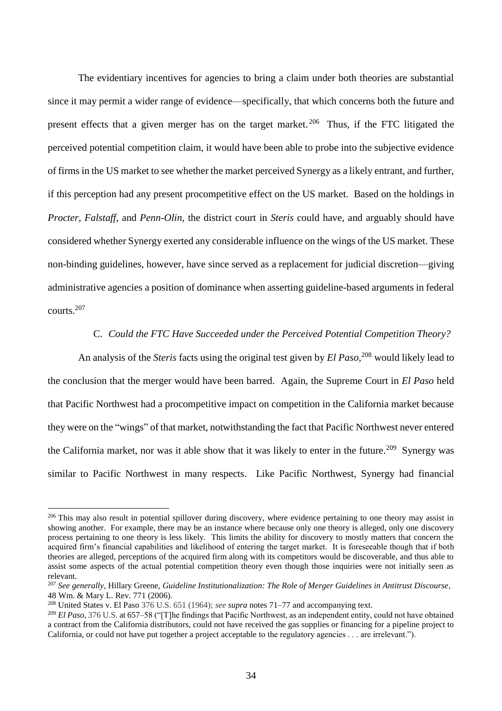The evidentiary incentives for agencies to bring a claim under both theories are substantial since it may permit a wider range of evidence—specifically, that which concerns both the future and present effects that a given merger has on the target market.<sup>206</sup> Thus, if the FTC litigated the perceived potential competition claim, it would have been able to probe into the subjective evidence of firms in the US market to see whether the market perceived Synergy as a likely entrant, and further, if this perception had any present procompetitive effect on the US market. Based on the holdings in *Procter*, *Falstaff*, and *Penn-Olin*, the district court in *Steris* could have, and arguably should have considered whether Synergy exerted any considerable influence on the wings of the US market. These non-binding guidelines, however, have since served as a replacement for judicial discretion—giving administrative agencies a position of dominance when asserting guideline-based arguments in federal courts. 207

### C. *Could the FTC Have Succeeded under the Perceived Potential Competition Theory?*

An analysis of the *Steris* facts using the original test given by *El Paso*, <sup>208</sup> would likely lead to the conclusion that the merger would have been barred. Again, the Supreme Court in *El Paso* held that Pacific Northwest had a procompetitive impact on competition in the California market because they were on the "wings" of that market, notwithstanding the fact that Pacific Northwest never entered the California market, nor was it able show that it was likely to enter in the future.<sup>209</sup> Synergy was similar to Pacific Northwest in many respects. Like Pacific Northwest, Synergy had financial

 $206$  This may also result in potential spillover during discovery, where evidence pertaining to one theory may assist in showing another. For example, there may be an instance where because only one theory is alleged, only one discovery process pertaining to one theory is less likely. This limits the ability for discovery to mostly matters that concern the acquired firm's financial capabilities and likelihood of entering the target market. It is foreseeable though that if both theories are alleged, perceptions of the acquired firm along with its competitors would be discoverable, and thus able to assist some aspects of the actual potential competition theory even though those inquiries were not initially seen as relevant.

<sup>207</sup> *See generally*, Hillary Greene, *Guideline Institutionalization: The Role of Merger Guidelines in Antitrust Discourse*, 48 Wm. & Mary L. Rev. 771 (2006).

<sup>208</sup> United States v. El Paso 376 U.S. 651 (1964); *see supra* notes [71](#page-12-0)[–77](#page-13-0) and accompanying text.

<sup>209</sup> *El Paso*, 376 U.S. at 657–58 ("[T]he findings that Pacific Northwest, as an independent entity, could not have obtained a contract from the California distributors, could not have received the gas supplies or financing for a pipeline project to California, or could not have put together a project acceptable to the regulatory agencies . . . are irrelevant.").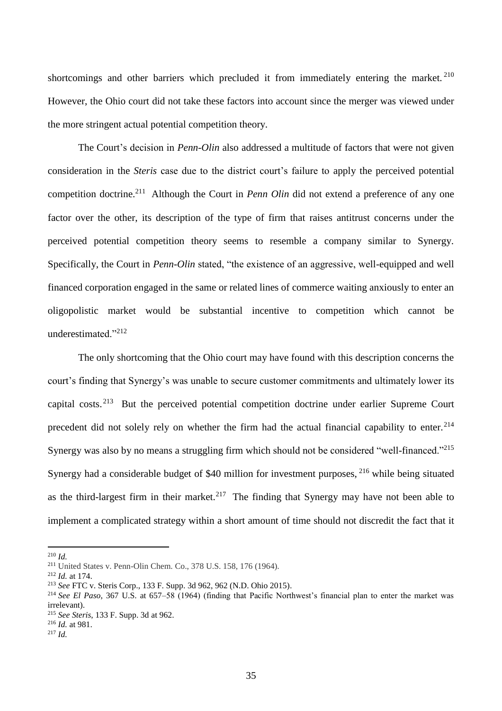shortcomings and other barriers which precluded it from immediately entering the market.<sup>210</sup> However, the Ohio court did not take these factors into account since the merger was viewed under the more stringent actual potential competition theory.

The Court's decision in *Penn-Olin* also addressed a multitude of factors that were not given consideration in the *Steris* case due to the district court's failure to apply the perceived potential competition doctrine.<sup>211</sup> Although the Court in *Penn Olin* did not extend a preference of any one factor over the other, its description of the type of firm that raises antitrust concerns under the perceived potential competition theory seems to resemble a company similar to Synergy. Specifically, the Court in *Penn-Olin* stated, "the existence of an aggressive, well-equipped and well financed corporation engaged in the same or related lines of commerce waiting anxiously to enter an oligopolistic market would be substantial incentive to competition which cannot be underestimated."<sup>212</sup>

The only shortcoming that the Ohio court may have found with this description concerns the court's finding that Synergy's was unable to secure customer commitments and ultimately lower its capital costs.<sup>213</sup> But the perceived potential competition doctrine under earlier Supreme Court precedent did not solely rely on whether the firm had the actual financial capability to enter.<sup>214</sup> Synergy was also by no means a struggling firm which should not be considered "well-financed."<sup>215</sup> Synergy had a considerable budget of \$40 million for investment purposes, <sup>216</sup> while being situated as the third-largest firm in their market.<sup>217</sup> The finding that Synergy may have not been able to implement a complicated strategy within a short amount of time should not discredit the fact that it

<sup>210</sup> *Id.*

<sup>211</sup> United States v. Penn-Olin Chem. Co., 378 U.S. 158, 176 (1964).

<sup>212</sup> *Id.* at 174.

<sup>213</sup> *See* FTC v. Steris Corp., 133 F. Supp. 3d 962, 962 (N.D. Ohio 2015)*.*

<sup>214</sup> *See El Paso*, 367 U.S. at 657–58 (1964) (finding that Pacific Northwest's financial plan to enter the market was irrelevant).

<sup>215</sup> *See Steris*, 133 F. Supp. 3d at 962.

<sup>216</sup> *Id.* at 981.

<sup>217</sup> *Id.*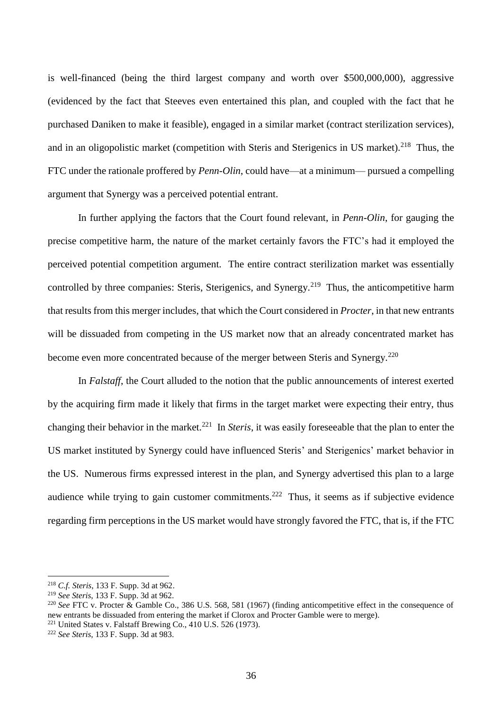is well-financed (being the third largest company and worth over \$500,000,000), aggressive (evidenced by the fact that Steeves even entertained this plan, and coupled with the fact that he purchased Daniken to make it feasible), engaged in a similar market (contract sterilization services), and in an oligopolistic market (competition with Steris and Sterigenics in US market).<sup>218</sup> Thus, the FTC under the rationale proffered by *Penn-Olin*, could have—at a minimum— pursued a compelling argument that Synergy was a perceived potential entrant.

In further applying the factors that the Court found relevant, in *Penn-Olin*, for gauging the precise competitive harm, the nature of the market certainly favors the FTC's had it employed the perceived potential competition argument. The entire contract sterilization market was essentially controlled by three companies: Steris, Sterigenics, and Synergy.<sup>219</sup> Thus, the anticompetitive harm that results from this merger includes, that which the Court considered in *Procter*, in that new entrants will be dissuaded from competing in the US market now that an already concentrated market has become even more concentrated because of the merger between Steris and Synergy.<sup>220</sup>

In *Falstaff*, the Court alluded to the notion that the public announcements of interest exerted by the acquiring firm made it likely that firms in the target market were expecting their entry, thus changing their behavior in the market.<sup>221</sup> In *Steris*, it was easily foreseeable that the plan to enter the US market instituted by Synergy could have influenced Steris' and Sterigenics' market behavior in the US. Numerous firms expressed interest in the plan, and Synergy advertised this plan to a large audience while trying to gain customer commitments.<sup>222</sup> Thus, it seems as if subjective evidence regarding firm perceptions in the US market would have strongly favored the FTC, that is, if the FTC

<sup>218</sup> *C.f. Steris*, 133 F. Supp. 3d at 962.

<sup>219</sup> *See Steris*, 133 F. Supp. 3d at 962.

<sup>220</sup> *See* FTC v. Procter & Gamble Co., 386 U.S. 568, 581 (1967) (finding anticompetitive effect in the consequence of new entrants be dissuaded from entering the market if Clorox and Procter Gamble were to merge).  $221$  United States v. Falstaff Brewing Co., 410 U.S. 526 (1973).

<sup>222</sup> *See Steris*, 133 F. Supp. 3d at 983.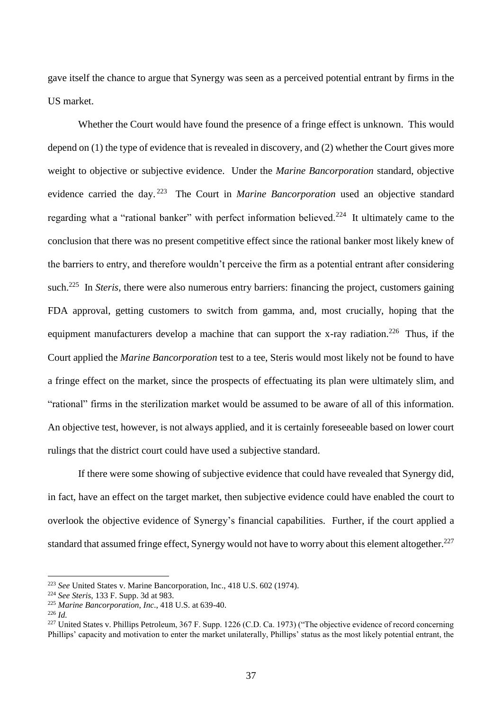gave itself the chance to argue that Synergy was seen as a perceived potential entrant by firms in the US market.

Whether the Court would have found the presence of a fringe effect is unknown. This would depend on (1) the type of evidence that is revealed in discovery, and (2) whether the Court gives more weight to objective or subjective evidence. Under the *Marine Bancorporation* standard, objective evidence carried the day. <sup>223</sup> The Court in *Marine Bancorporation* used an objective standard regarding what a "rational banker" with perfect information believed.<sup>224</sup> It ultimately came to the conclusion that there was no present competitive effect since the rational banker most likely knew of the barriers to entry, and therefore wouldn't perceive the firm as a potential entrant after considering such.<sup>225</sup> In *Steris*, there were also numerous entry barriers: financing the project, customers gaining FDA approval, getting customers to switch from gamma, and, most crucially, hoping that the equipment manufacturers develop a machine that can support the x-ray radiation.<sup>226</sup> Thus, if the Court applied the *Marine Bancorporation* test to a tee, Steris would most likely not be found to have a fringe effect on the market, since the prospects of effectuating its plan were ultimately slim, and "rational" firms in the sterilization market would be assumed to be aware of all of this information. An objective test, however, is not always applied, and it is certainly foreseeable based on lower court rulings that the district court could have used a subjective standard.

If there were some showing of subjective evidence that could have revealed that Synergy did, in fact, have an effect on the target market, then subjective evidence could have enabled the court to overlook the objective evidence of Synergy's financial capabilities. Further, if the court applied a standard that assumed fringe effect, Synergy would not have to worry about this element altogether.<sup>227</sup>

<sup>223</sup> *See* United States v. Marine Bancorporation, Inc., 418 U.S. 602 (1974).

<sup>224</sup> *See Steris*, 133 F. Supp. 3d at 983.

<sup>225</sup> *Marine Bancorporation*, *Inc*., 418 U.S. at 639-40.

<sup>226</sup> *Id.*

<sup>&</sup>lt;sup>227</sup> United States v. Phillips Petroleum, 367 F. Supp. 1226 (C.D. Ca. 1973) ("The objective evidence of record concerning Phillips' capacity and motivation to enter the market unilaterally, Phillips' status as the most likely potential entrant, the